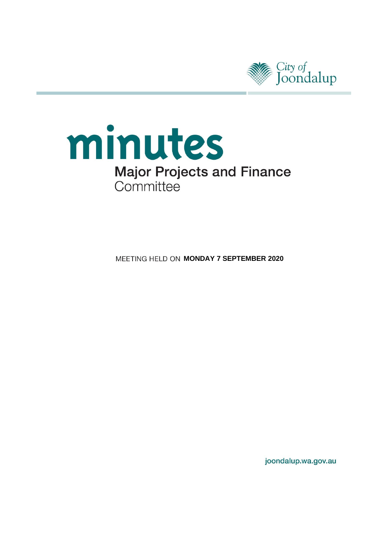

# minutes **Major Projects and Finance** Committee

**MEETING HELD ON MONDAY 7 SEPTEMBER 2020** 

joondalup.wa.gov.au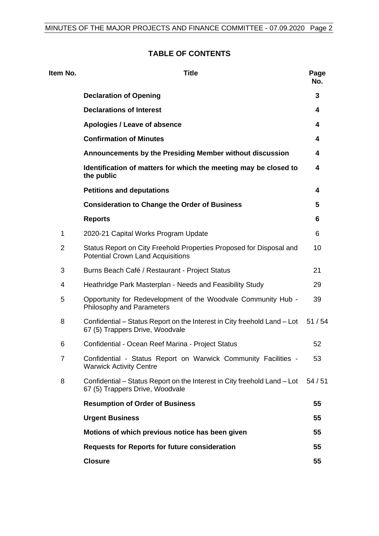# **TABLE OF CONTENTS**

| ltem No.       | <b>Title</b>                                                                                                    | Page<br>No. |
|----------------|-----------------------------------------------------------------------------------------------------------------|-------------|
|                | <b>Declaration of Opening</b>                                                                                   | 3           |
|                | <b>Declarations of Interest</b>                                                                                 | 4           |
|                | Apologies / Leave of absence                                                                                    | 4           |
|                | <b>Confirmation of Minutes</b>                                                                                  | 4           |
|                | Announcements by the Presiding Member without discussion                                                        | 4           |
|                | Identification of matters for which the meeting may be closed to<br>the public                                  | 4           |
|                | <b>Petitions and deputations</b>                                                                                | 4           |
|                | <b>Consideration to Change the Order of Business</b>                                                            | 5           |
|                | <b>Reports</b>                                                                                                  | 6           |
| 1              | 2020-21 Capital Works Program Update                                                                            | 6           |
| $\overline{2}$ | Status Report on City Freehold Properties Proposed for Disposal and<br><b>Potential Crown Land Acquisitions</b> | 10          |
| 3              | Burns Beach Café / Restaurant - Project Status                                                                  | 21          |
| 4              | Heathridge Park Masterplan - Needs and Feasibility Study                                                        | 29          |
| 5              | Opportunity for Redevelopment of the Woodvale Community Hub -<br>Philosophy and Parameters                      | 39          |
| 8              | Confidential – Status Report on the Interest in City freehold Land – Lot<br>67 (5) Trappers Drive, Woodvale     | 51/54       |
| 6              | Confidential - Ocean Reef Marina - Project Status                                                               | 52          |
| $\overline{7}$ | Confidential - Status Report on Warwick Community Facilities -<br><b>Warwick Activity Centre</b>                | 53          |
| 8              | Confidential – Status Report on the Interest in City freehold Land – Lot<br>67 (5) Trappers Drive, Woodvale     | 54/51       |
|                | <b>Resumption of Order of Business</b>                                                                          | 55          |
|                | <b>Urgent Business</b>                                                                                          | 55          |
|                | Motions of which previous notice has been given                                                                 | 55          |
|                | <b>Requests for Reports for future consideration</b>                                                            | 55          |
|                | <b>Closure</b>                                                                                                  | 55          |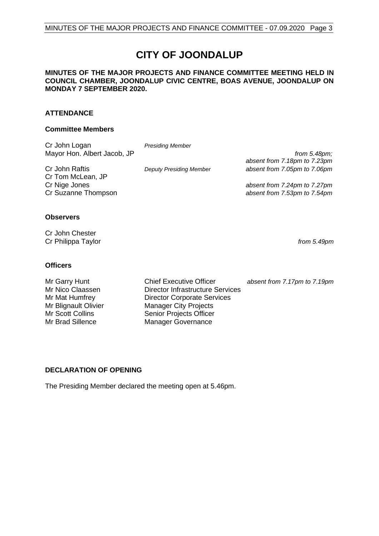# **CITY OF JOONDALUP**

#### **MINUTES OF THE MAJOR PROJECTS AND FINANCE COMMITTEE MEETING HELD IN COUNCIL CHAMBER, JOONDALUP CIVIC CENTRE, BOAS AVENUE, JOONDALUP ON MONDAY 7 SEPTEMBER 2020.**

#### **ATTENDANCE**

#### **Committee Members**

| Cr John Logan               | <b>Presiding Member</b>        |                              |
|-----------------------------|--------------------------------|------------------------------|
| Mayor Hon. Albert Jacob, JP |                                | from $5.48 \text{pm}$ ;      |
|                             |                                | absent from 7.18pm to 7.23pm |
| Cr John Raftis              | <b>Deputy Presiding Member</b> | absent from 7.05pm to 7.06pm |
| Cr Tom McLean, JP           |                                |                              |
| Cr Nige Jones               |                                | absent from 7.24pm to 7.27pm |
| Cr Suzanne Thompson         |                                | absent from 7.53pm to 7.54pm |
|                             |                                |                              |
|                             |                                |                              |
| $\bigcap_{i=1}^n$           |                                |                              |

#### **Observers**

Cr John Chester Cr Philippa Taylor *from 5.49pm*

#### **Officers**

Mr Nico Claassen Director Infrastructure Services<br>
Mr Mat Humfrey Director Corporate Services Mr Mat Humfrey Director Corporate Services<br>
Mr Blignault Olivier Manager City Projects Mr Blignault Olivier Manager City Projects<br>
Mr Scott Collins
Mr Scott Collins
Mr Scott Collins
Mr Scott Collins
Mr Scott Collins
Mr Scott Collins
Mr Scott Collins
Mr Scott Collins
Mr Scott Collins
Mr Scott Collins
Mr Scott Mr Scott Collins Senior Projects Officer<br>
Manager Governance<br>
Manager Governance

Mr Garry Hunt **Chief Executive Officer** *absent from 7.17pm to 7.19pm*<br>Mr Nico Claassen **Director Infrastructure Services** Manager Governance

#### <span id="page-2-0"></span>**DECLARATION OF OPENING**

The Presiding Member declared the meeting open at 5.46pm.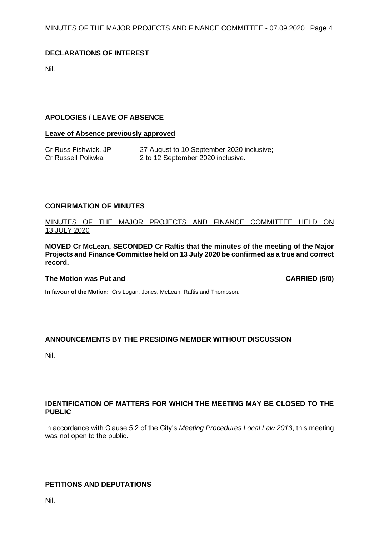#### <span id="page-3-0"></span>**DECLARATIONS OF INTEREST**

Nil.

#### <span id="page-3-1"></span>**APOLOGIES / LEAVE OF ABSENCE**

#### **Leave of Absence previously approved**

| Cr Russ Fishwick, JP | 27 August to 10 September 2020 inclusive; |
|----------------------|-------------------------------------------|
| Cr Russell Poliwka   | 2 to 12 September 2020 inclusive.         |

#### <span id="page-3-2"></span>**CONFIRMATION OF MINUTES**

MINUTES OF THE MAJOR PROJECTS AND FINANCE COMMITTEE HELD ON 13 JULY 2020

**MOVED Cr McLean, SECONDED Cr Raftis that the minutes of the meeting of the Major Projects and Finance Committee held on 13 July 2020 be confirmed as a true and correct record.**

#### The Motion was Put and **CARRIED** (5/0)

**In favour of the Motion:** Crs Logan, Jones, McLean, Raftis and Thompson.

#### <span id="page-3-3"></span>**ANNOUNCEMENTS BY THE PRESIDING MEMBER WITHOUT DISCUSSION**

Nil.

#### <span id="page-3-4"></span>**IDENTIFICATION OF MATTERS FOR WHICH THE MEETING MAY BE CLOSED TO THE PUBLIC**

In accordance with Clause 5.2 of the City's *Meeting Procedures Local Law 2013*, this meeting was not open to the public.

#### <span id="page-3-5"></span>**PETITIONS AND DEPUTATIONS**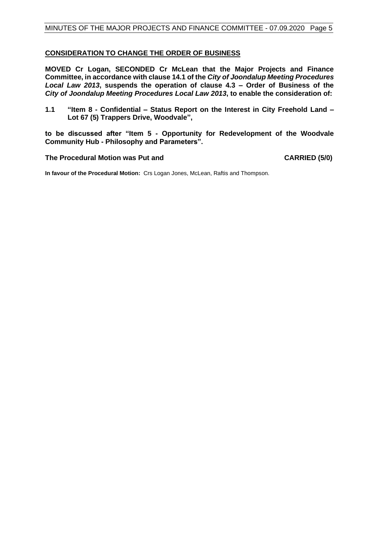#### <span id="page-4-0"></span>**CONSIDERATION TO CHANGE THE ORDER OF BUSINESS**

**MOVED Cr Logan, SECONDED Cr McLean that the Major Projects and Finance Committee, in accordance with clause 14.1 of the** *City of Joondalup Meeting Procedures Local Law 2013***, suspends the operation of clause 4.3 – Order of Business of the**  *City of Joondalup Meeting Procedures Local Law 2013***, to enable the consideration of:**

**1.1 "Item 8 - Confidential – Status Report on the Interest in City Freehold Land – Lot 67 (5) Trappers Drive, Woodvale",**

**to be discussed after "Item 5 - Opportunity for Redevelopment of the Woodvale Community Hub - Philosophy and Parameters".**

**The Procedural Motion was Put and CARRIED (5/0)**

**In favour of the Procedural Motion:** Crs Logan Jones, McLean, Raftis and Thompson.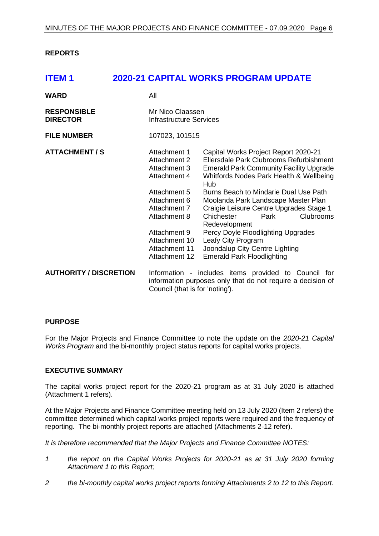#### <span id="page-5-0"></span>**REPORTS**

# <span id="page-5-1"></span>**ITEM 1 2020-21 CAPITAL WORKS PROGRAM UPDATE**

| <b>WARD</b>                           | All                                                                                                                                                                                             |                                                                                                                                                                                                                                                                                                                                                                                                                                                                                                              |
|---------------------------------------|-------------------------------------------------------------------------------------------------------------------------------------------------------------------------------------------------|--------------------------------------------------------------------------------------------------------------------------------------------------------------------------------------------------------------------------------------------------------------------------------------------------------------------------------------------------------------------------------------------------------------------------------------------------------------------------------------------------------------|
| <b>RESPONSIBLE</b><br><b>DIRECTOR</b> | Mr Nico Claassen<br>Infrastructure Services                                                                                                                                                     |                                                                                                                                                                                                                                                                                                                                                                                                                                                                                                              |
| <b>FILE NUMBER</b>                    | 107023, 101515                                                                                                                                                                                  |                                                                                                                                                                                                                                                                                                                                                                                                                                                                                                              |
| <b>ATTACHMENT / S</b>                 | Attachment 1<br>Attachment 2<br>Attachment 3<br>Attachment 4<br>Attachment 5<br>Attachment 6<br>Attachment 7<br>Attachment 8<br>Attachment 9<br>Attachment 10<br>Attachment 11<br>Attachment 12 | Capital Works Project Report 2020-21<br>Ellersdale Park Clubrooms Refurbishment<br><b>Emerald Park Community Facility Upgrade</b><br>Whitfords Nodes Park Health & Wellbeing<br>Hub<br>Burns Beach to Mindarie Dual Use Path<br>Moolanda Park Landscape Master Plan<br>Craigie Leisure Centre Upgrades Stage 1<br>Chichester<br>Park<br><b>Clubrooms</b><br>Redevelopment<br>Percy Doyle Floodlighting Upgrades<br>Leafy City Program<br>Joondalup City Centre Lighting<br><b>Emerald Park Floodlighting</b> |
| <b>AUTHORITY / DISCRETION</b>         | Council (that is for 'noting').                                                                                                                                                                 | Information - includes items provided to Council for<br>information purposes only that do not require a decision of                                                                                                                                                                                                                                                                                                                                                                                          |

#### **PURPOSE**

For the Major Projects and Finance Committee to note the update on the *2020-21 Capital Works Program* and the bi-monthly project status reports for capital works projects.

#### **EXECUTIVE SUMMARY**

The capital works project report for the 2020-21 program as at 31 July 2020 is attached (Attachment 1 refers).

At the Major Projects and Finance Committee meeting held on 13 July 2020 (Item 2 refers) the committee determined which capital works project reports were required and the frequency of reporting. The bi-monthly project reports are attached (Attachments 2-12 refer).

*It is therefore recommended that the Major Projects and Finance Committee NOTES:*

- *1 the report on the Capital Works Projects for 2020-21 as at 31 July 2020 forming Attachment 1 to this Report;*
- *2 the bi-monthly capital works project reports forming Attachments 2 to 12 to this Report.*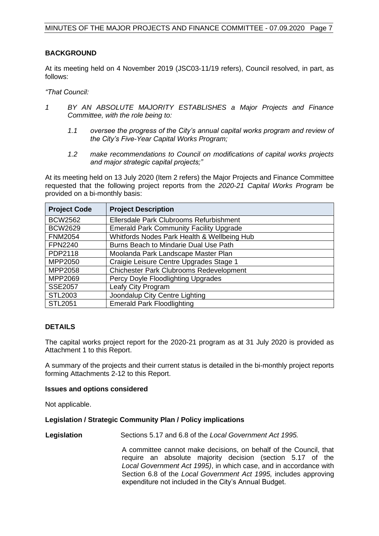#### **BACKGROUND**

At its meeting held on 4 November 2019 (JSC03-11/19 refers), Council resolved, in part, as follows:

*"That Council:*

- *1 BY AN ABSOLUTE MAJORITY ESTABLISHES a Major Projects and Finance Committee, with the role being to:*
	- *1.1 oversee the progress of the City's annual capital works program and review of the City's Five-Year Capital Works Program;*
	- *1.2 make recommendations to Council on modifications of capital works projects and major strategic capital projects;"*

At its meeting held on 13 July 2020 (Item 2 refers) the Major Projects and Finance Committee requested that the following project reports from the *2020-21 Capital Works Program* be provided on a bi-monthly basis:

| <b>Project Code</b> | <b>Project Description</b>                     |
|---------------------|------------------------------------------------|
| <b>BCW2562</b>      | Ellersdale Park Clubrooms Refurbishment        |
| <b>BCW2629</b>      | <b>Emerald Park Community Facility Upgrade</b> |
| <b>FNM2054</b>      | Whitfords Nodes Park Health & Wellbeing Hub    |
| <b>FPN2240</b>      | Burns Beach to Mindarie Dual Use Path          |
| PDP2118             | Moolanda Park Landscape Master Plan            |
| MPP2050             | Craigie Leisure Centre Upgrades Stage 1        |
| MPP2058             | <b>Chichester Park Clubrooms Redevelopment</b> |
| MPP2069             | Percy Doyle Floodlighting Upgrades             |
| <b>SSE2057</b>      | Leafy City Program                             |
| STL2003             | Joondalup City Centre Lighting                 |
| <b>STL2051</b>      | <b>Emerald Park Floodlighting</b>              |

#### **DETAILS**

The capital works project report for the 2020-21 program as at 31 July 2020 is provided as Attachment 1 to this Report.

A summary of the projects and their current status is detailed in the bi-monthly project reports forming Attachments 2-12 to this Report.

#### **Issues and options considered**

Not applicable.

#### **Legislation / Strategic Community Plan / Policy implications**

**Legislation** Sections 5.17 and 6.8 of the *Local Government Act 1995.*

A committee cannot make decisions, on behalf of the Council, that require an absolute majority decision (section 5.17 of the *Local Government Act 1995)*, in which case, and in accordance with Section 6.8 of the *Local Government Act 1995,* includes approving expenditure not included in the City's Annual Budget.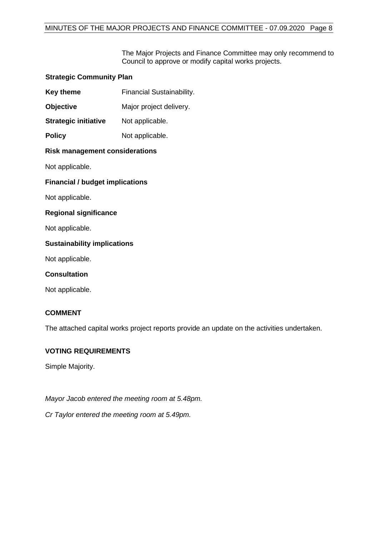The Major Projects and Finance Committee may only recommend to Council to approve or modify capital works projects.

| <b>Strategic Community Plan</b>        |                                  |  |
|----------------------------------------|----------------------------------|--|
| <b>Key theme</b>                       | <b>Financial Sustainability.</b> |  |
| Objective                              | Major project delivery.          |  |
| <b>Strategic initiative</b>            | Not applicable.                  |  |
| <b>Policy</b>                          | Not applicable.                  |  |
| <b>Risk management considerations</b>  |                                  |  |
| Not applicable.                        |                                  |  |
| <b>Financial / budget implications</b> |                                  |  |
| Not applicable.                        |                                  |  |
| <b>Regional significance</b>           |                                  |  |
| Not applicable.                        |                                  |  |
| <b>Sustainability implications</b>     |                                  |  |
| Not applicable.                        |                                  |  |
| <b>Consultation</b>                    |                                  |  |
| Not applicable.                        |                                  |  |

#### **COMMENT**

The attached capital works project reports provide an update on the activities undertaken.

#### **VOTING REQUIREMENTS**

Simple Majority.

*Mayor Jacob entered the meeting room at 5.48pm.*

*Cr Taylor entered the meeting room at 5.49pm.*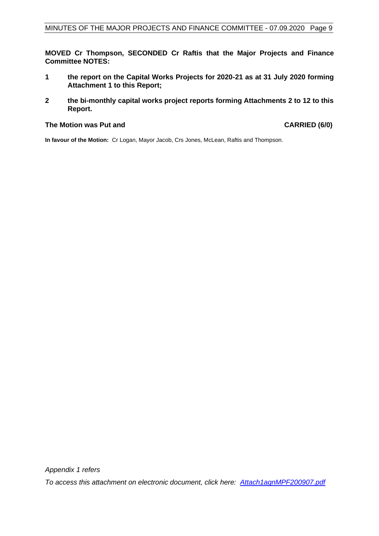**MOVED Cr Thompson, SECONDED Cr Raftis that the Major Projects and Finance Committee NOTES:**

- **1 the report on the Capital Works Projects for 2020-21 as at 31 July 2020 forming Attachment 1 to this Report;**
- **2 the bi-monthly capital works project reports forming Attachments 2 to 12 to this Report.**

#### **The Motion was Put and CARRIED (6/0)**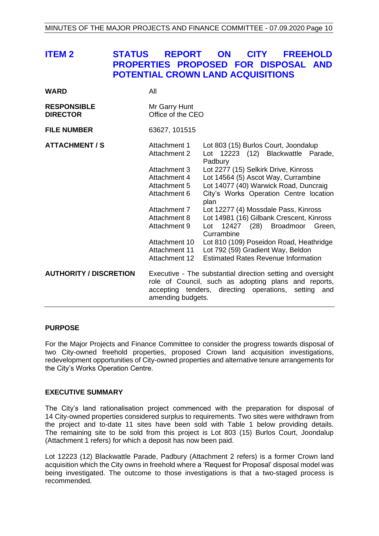# <span id="page-9-0"></span>**ITEM 2 STATUS REPORT ON CITY FREEHOLD PROPERTIES PROPOSED FOR DISPOSAL AND POTENTIAL CROWN LAND ACQUISITIONS**

| <b>WARD</b>                           | All                                |                                                                                                                                                                                   |
|---------------------------------------|------------------------------------|-----------------------------------------------------------------------------------------------------------------------------------------------------------------------------------|
| <b>RESPONSIBLE</b><br><b>DIRECTOR</b> | Mr Garry Hunt<br>Office of the CEO |                                                                                                                                                                                   |
| <b>FILE NUMBER</b>                    | 63627, 101515                      |                                                                                                                                                                                   |
| <b>ATTACHMENT / S</b>                 | Attachment 1<br>Attachment 2       | Lot 803 (15) Burlos Court, Joondalup<br>Lot 12223 (12) Blackwattle Parade,<br>Padbury                                                                                             |
|                                       | Attachment 3                       | Lot 2277 (15) Selkirk Drive, Kinross                                                                                                                                              |
|                                       | Attachment 4                       | Lot 14564 (5) Ascot Way, Currambine                                                                                                                                               |
|                                       | Attachment 5                       | Lot 14077 (40) Warwick Road, Duncraig                                                                                                                                             |
|                                       | Attachment 6                       | City's Works Operation Centre location<br>plan                                                                                                                                    |
|                                       | Attachment 7                       | Lot 12277 (4) Mossdale Pass, Kinross                                                                                                                                              |
|                                       | Attachment 8                       | Lot 14981 (16) Gilbank Crescent, Kinross                                                                                                                                          |
|                                       | Attachment 9                       | 12427 (28)<br><b>Broadmoor</b><br>Green,<br>Lot<br>Currambine                                                                                                                     |
|                                       | Attachment 10                      | Lot 810 (109) Poseidon Road, Heathridge                                                                                                                                           |
|                                       | Attachment 11                      | Lot 792 (59) Gradient Way, Beldon                                                                                                                                                 |
|                                       | Attachment 12                      | <b>Estimated Rates Revenue Information</b>                                                                                                                                        |
| <b>AUTHORITY / DISCRETION</b>         | amending budgets.                  | Executive - The substantial direction setting and oversight<br>role of Council, such as adopting plans and reports,<br>accepting tenders, directing operations,<br>setting<br>and |

#### **PURPOSE**

For the Major Projects and Finance Committee to consider the progress towards disposal of two City-owned freehold properties, proposed Crown land acquisition investigations, redevelopment opportunities of City-owned properties and alternative tenure arrangements for the City's Works Operation Centre.

#### **EXECUTIVE SUMMARY**

The City's land rationalisation project commenced with the preparation for disposal of 14 City-owned properties considered surplus to requirements. Two sites were withdrawn from the project and to-date 11 sites have been sold with Table 1 below providing details. The remaining site to be sold from this project is Lot 803 (15) Burlos Court, Joondalup (Attachment 1 refers) for which a deposit has now been paid.

Lot 12223 (12) Blackwattle Parade, Padbury (Attachment 2 refers) is a former Crown land acquisition which the City owns in freehold where a 'Request for Proposal' disposal model was being investigated. The outcome to those investigations is that a two-staged process is recommended.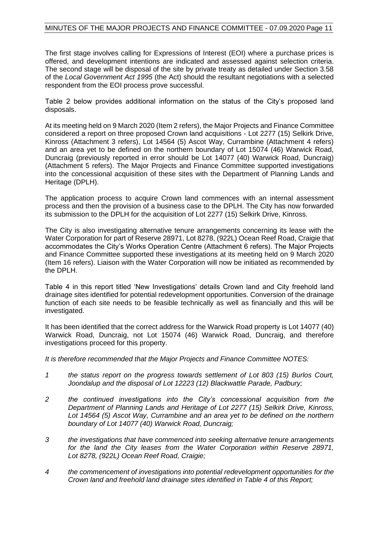The first stage involves calling for Expressions of Interest (EOI) where a purchase prices is offered, and development intentions are indicated and assessed against selection criteria. The second stage will be disposal of the site by private treaty as detailed under Section 3.58 of the *Local Government Act 1995* (the Act) should the resultant negotiations with a selected respondent from the EOI process prove successful.

Table 2 below provides additional information on the status of the City's proposed land disposals.

At its meeting held on 9 March 2020 (Item 2 refers), the Major Projects and Finance Committee considered a report on three proposed Crown land acquisitions - Lot 2277 (15) Selkirk Drive, Kinross (Attachment 3 refers), Lot 14564 (5) Ascot Way, Currambine (Attachment 4 refers) and an area yet to be defined on the northern boundary of Lot 15074 (46) Warwick Road, Duncraig (previously reported in error should be Lot 14077 (40) Warwick Road, Duncraig) (Attachment 5 refers). The Major Projects and Finance Committee supported investigations into the concessional acquisition of these sites with the Department of Planning Lands and Heritage (DPLH).

The application process to acquire Crown land commences with an internal assessment process and then the provision of a business case to the DPLH. The City has now forwarded its submission to the DPLH for the acquisition of Lot 2277 (15) Selkirk Drive, Kinross.

The City is also investigating alternative tenure arrangements concerning its lease with the Water Corporation for part of Reserve 28971, Lot 8278, (922L) Ocean Reef Road, Craigie that accommodates the City's Works Operation Centre (Attachment 6 refers). The Major Projects and Finance Committee supported these investigations at its meeting held on 9 March 2020 (Item 16 refers). Liaison with the Water Corporation will now be initiated as recommended by the DPLH.

Table 4 in this report titled 'New Investigations' details Crown land and City freehold land drainage sites identified for potential redevelopment opportunities. Conversion of the drainage function of each site needs to be feasible technically as well as financially and this will be investigated.

It has been identified that the correct address for the Warwick Road property is Lot 14077 (40) Warwick Road, Duncraig, not Lot 15074 (46) Warwick Road, Duncraig, and therefore investigations proceed for this property.

*It is therefore recommended that the Major Projects and Finance Committee NOTES:*

- *1 the status report on the progress towards settlement of Lot 803 (15) Burlos Court, Joondalup and the disposal of Lot 12223 (12) Blackwattle Parade, Padbury;*
- *2 the continued investigations into the City's concessional acquisition from the Department of Planning Lands and Heritage of Lot 2277 (15) Selkirk Drive, Kinross, Lot 14564 (5) Ascot Way, Currambine and an area yet to be defined on the northern boundary of Lot 14077 (40) Warwick Road, Duncraig;*
- *3 the investigations that have commenced into seeking alternative tenure arrangements for the land the City leases from the Water Corporation within Reserve 28971, Lot 8278, (922L) Ocean Reef Road, Craigie;*
- *4 the commencement of investigations into potential redevelopment opportunities for the Crown land and freehold land drainage sites identified in Table 4 of this Report;*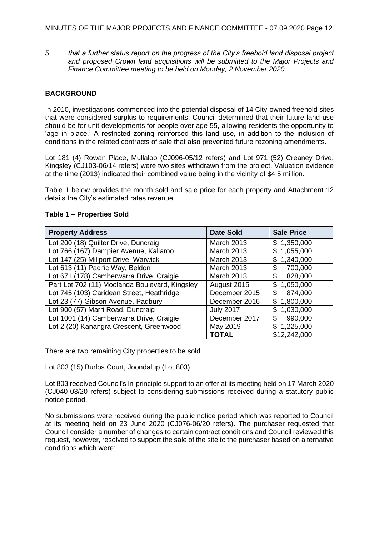*5 that a further status report on the progress of the City's freehold land disposal project and proposed Crown land acquisitions will be submitted to the Major Projects and Finance Committee meeting to be held on Monday, 2 November 2020.*

#### **BACKGROUND**

In 2010, investigations commenced into the potential disposal of 14 City-owned freehold sites that were considered surplus to requirements. Council determined that their future land use should be for unit developments for people over age 55, allowing residents the opportunity to 'age in place.' A restricted zoning reinforced this land use, in addition to the inclusion of conditions in the related contracts of sale that also prevented future rezoning amendments.

Lot 181 (4) Rowan Place, Mullaloo (CJ096-05/12 refers) and Lot 971 (52) Creaney Drive, Kingsley (CJ103-06/14 refers) were two sites withdrawn from the project. Valuation evidence at the time (2013) indicated their combined value being in the vicinity of \$4.5 million.

Table 1 below provides the month sold and sale price for each property and Attachment 12 details the City's estimated rates revenue.

| <b>Property Address</b>                        | <b>Date Sold</b>  | <b>Sale Price</b> |
|------------------------------------------------|-------------------|-------------------|
| Lot 200 (18) Quilter Drive, Duncraig           | <b>March 2013</b> | 1,350,000<br>\$   |
| Lot 766 (167) Dampier Avenue, Kallaroo         | <b>March 2013</b> | 1,055,000<br>\$   |
| Lot 147 (25) Millport Drive, Warwick           | <b>March 2013</b> | 1,340,000<br>\$   |
| Lot 613 (11) Pacific Way, Beldon               | <b>March 2013</b> | 700,000<br>\$     |
| Lot 671 (178) Camberwarra Drive, Craigie       | <b>March 2013</b> | \$<br>828,000     |
| Part Lot 702 (11) Moolanda Boulevard, Kingsley | August 2015       | 1,050,000<br>\$   |
| Lot 745 (103) Caridean Street, Heathridge      | December 2015     | \$<br>874,000     |
| Lot 23 (77) Gibson Avenue, Padbury             | December 2016     | 1,800,000<br>\$   |
| Lot 900 (57) Marri Road, Duncraig              | <b>July 2017</b>  | \$<br>1,030,000   |
| Lot 1001 (14) Camberwarra Drive, Craigie       | December 2017     | \$<br>990,000     |
| Lot 2 (20) Kanangra Crescent, Greenwood        | May 2019          | 1,225,000<br>\$   |
|                                                | TOTAL             | \$12,242,000      |

#### **Table 1 – Properties Sold**

There are two remaining City properties to be sold.

#### Lot 803 (15) Burlos Court, Joondalup (Lot 803)

Lot 803 received Council's in-principle support to an offer at its meeting held on 17 March 2020 (CJ040-03/20 refers) subject to considering submissions received during a statutory public notice period.

No submissions were received during the public notice period which was reported to Council at its meeting held on 23 June 2020 (CJ076-06/20 refers). The purchaser requested that Council consider a number of changes to certain contract conditions and Council reviewed this request, however, resolved to support the sale of the site to the purchaser based on alternative conditions which were: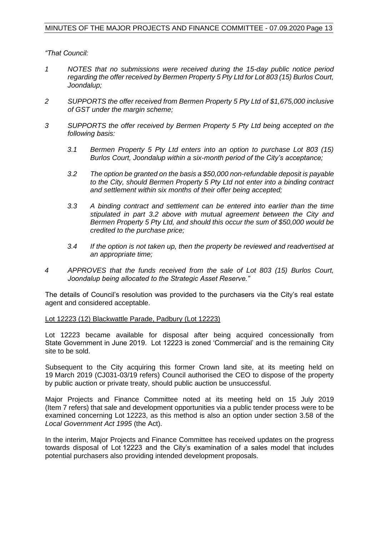*"That Council:*

- *1 NOTES that no submissions were received during the 15-day public notice period regarding the offer received by Bermen Property 5 Pty Ltd for Lot 803 (15) Burlos Court, Joondalup;*
- *2 SUPPORTS the offer received from Bermen Property 5 Pty Ltd of \$1,675,000 inclusive of GST under the margin scheme;*
- *3 SUPPORTS the offer received by Bermen Property 5 Pty Ltd being accepted on the following basis:* 
	- *3.1 Bermen Property 5 Pty Ltd enters into an option to purchase Lot 803 (15) Burlos Court, Joondalup within a six-month period of the City's acceptance;*
	- *3.2 The option be granted on the basis a \$50,000 non-refundable deposit is payable to the City, should Bermen Property 5 Pty Ltd not enter into a binding contract and settlement within six months of their offer being accepted;*
	- *3.3 A binding contract and settlement can be entered into earlier than the time stipulated in part 3.2 above with mutual agreement between the City and Bermen Property 5 Pty Ltd, and should this occur the sum of \$50,000 would be credited to the purchase price;*
	- *3.4 If the option is not taken up, then the property be reviewed and readvertised at an appropriate time;*
- *4 APPROVES that the funds received from the sale of Lot 803 (15) Burlos Court, Joondalup being allocated to the Strategic Asset Reserve."*

The details of Council's resolution was provided to the purchasers via the City's real estate agent and considered acceptable.

#### Lot 12223 (12) Blackwattle Parade, Padbury (Lot 12223)

Lot 12223 became available for disposal after being acquired concessionally from State Government in June 2019. Lot 12223 is zoned 'Commercial' and is the remaining City site to be sold.

Subsequent to the City acquiring this former Crown land site, at its meeting held on 19 March 2019 (CJ031-03/19 refers) Council authorised the CEO to dispose of the property by public auction or private treaty, should public auction be unsuccessful.

Major Projects and Finance Committee noted at its meeting held on 15 July 2019 (Item 7 refers) that sale and development opportunities via a public tender process were to be examined concerning Lot 12223, as this method is also an option under section 3.58 of the *Local Government Act 1995* (the Act).

In the interim, Major Projects and Finance Committee has received updates on the progress towards disposal of Lot 12223 and the City's examination of a sales model that includes potential purchasers also providing intended development proposals.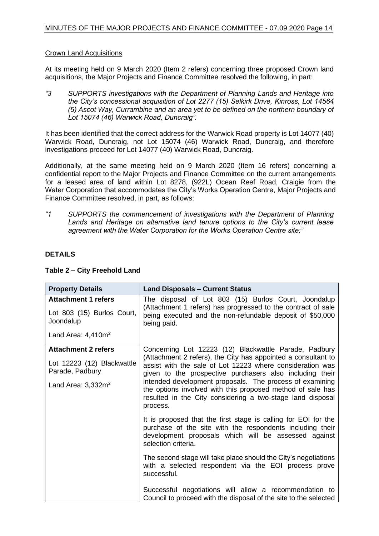#### Crown Land Acquisitions

At its meeting held on 9 March 2020 (Item 2 refers) concerning three proposed Crown land acquisitions, the Major Projects and Finance Committee resolved the following, in part:

*"3 SUPPORTS investigations with the Department of Planning Lands and Heritage into the City's concessional acquisition of Lot 2277 (15) Selkirk Drive, Kinross, Lot 14564 (5) Ascot Way, Currambine and an area yet to be defined on the northern boundary of Lot 15074 (46) Warwick Road, Duncraig".*

It has been identified that the correct address for the Warwick Road property is Lot 14077 (40) Warwick Road, Duncraig, not Lot 15074 (46) Warwick Road, Duncraig, and therefore investigations proceed for Lot 14077 (40) Warwick Road, Duncraig.

Additionally, at the same meeting held on 9 March 2020 (Item 16 refers) concerning a confidential report to the Major Projects and Finance Committee on the current arrangements for a leased area of land within Lot 8278, (922L) Ocean Reef Road, Craigie from the Water Corporation that accommodates the City's Works Operation Centre, Major Projects and Finance Committee resolved, in part, as follows:

*"1 SUPPORTS the commencement of investigations with the Department of Planning Lands and Heritage on alternative land tenure options to the City's current lease agreement with the Water Corporation for the Works Operation Centre site;"* 

#### **DETAILS**

| <b>Property Details</b>                                                                              | <b>Land Disposals - Current Status</b>                                                                                                                                                                                                                                                                                                                                                                                                              |
|------------------------------------------------------------------------------------------------------|-----------------------------------------------------------------------------------------------------------------------------------------------------------------------------------------------------------------------------------------------------------------------------------------------------------------------------------------------------------------------------------------------------------------------------------------------------|
| <b>Attachment 1 refers</b><br>Lot 803 (15) Burlos Court,<br>Joondalup<br>Land Area: $4,410m^2$       | The disposal of Lot 803 (15) Burlos Court, Joondalup<br>(Attachment 1 refers) has progressed to the contract of sale<br>being executed and the non-refundable deposit of \$50,000<br>being paid.                                                                                                                                                                                                                                                    |
| <b>Attachment 2 refers</b><br>Lot 12223 (12) Blackwattle<br>Parade, Padbury<br>Land Area: $3,332m^2$ | Concerning Lot 12223 (12) Blackwattle Parade, Padbury<br>(Attachment 2 refers), the City has appointed a consultant to<br>assist with the sale of Lot 12223 where consideration was<br>given to the prospective purchasers also including their<br>intended development proposals. The process of examining<br>the options involved with this proposed method of sale has<br>resulted in the City considering a two-stage land disposal<br>process. |
|                                                                                                      | It is proposed that the first stage is calling for EOI for the<br>purchase of the site with the respondents including their<br>development proposals which will be assessed against<br>selection criteria.<br>The second stage will take place should the City's negotiations<br>with a selected respondent via the EOI process prove                                                                                                               |
|                                                                                                      | successful.<br>Successful negotiations will allow a recommendation to<br>Council to proceed with the disposal of the site to the selected                                                                                                                                                                                                                                                                                                           |

#### **Table 2 – City Freehold Land**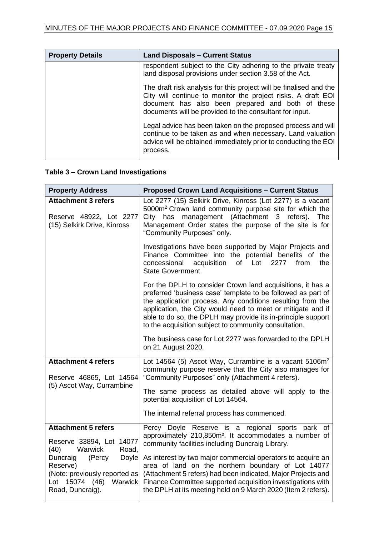| <b>Property Details</b> | <b>Land Disposals - Current Status</b>                                                                                                                                                                                                             |
|-------------------------|----------------------------------------------------------------------------------------------------------------------------------------------------------------------------------------------------------------------------------------------------|
|                         | respondent subject to the City adhering to the private treaty<br>land disposal provisions under section 3.58 of the Act.                                                                                                                           |
|                         | The draft risk analysis for this project will be finalised and the<br>City will continue to monitor the project risks. A draft EOI<br>document has also been prepared and both of these<br>documents will be provided to the consultant for input. |
|                         | Legal advice has been taken on the proposed process and will<br>continue to be taken as and when necessary. Land valuation<br>advice will be obtained immediately prior to conducting the EOI<br>process.                                          |

# **Table 3 – Crown Land Investigations**

| <b>Property Address</b>                                                                                                          | <b>Proposed Crown Land Acquisitions - Current Status</b>                                                                                                                                                                                                                                                                                                                         |
|----------------------------------------------------------------------------------------------------------------------------------|----------------------------------------------------------------------------------------------------------------------------------------------------------------------------------------------------------------------------------------------------------------------------------------------------------------------------------------------------------------------------------|
| <b>Attachment 3 refers</b><br>Reserve 48922, Lot 2277<br>(15) Selkirk Drive, Kinross                                             | Lot 2277 (15) Selkirk Drive, Kinross (Lot 2277) is a vacant<br>5000m <sup>2</sup> Crown land community purpose site for which the<br>City has management (Attachment 3 refers). The<br>Management Order states the purpose of the site is for<br>"Community Purposes" only.                                                                                                      |
|                                                                                                                                  | Investigations have been supported by Major Projects and<br>Finance Committee into the potential benefits of the<br>concessional<br>acquisition<br>of Lot<br>2277<br>from<br>the<br><b>State Government.</b>                                                                                                                                                                     |
|                                                                                                                                  | For the DPLH to consider Crown land acquisitions, it has a<br>preferred 'business case' template to be followed as part of<br>the application process. Any conditions resulting from the<br>application, the City would need to meet or mitigate and if<br>able to do so, the DPLH may provide its in-principle support<br>to the acquisition subject to community consultation. |
|                                                                                                                                  | The business case for Lot 2277 was forwarded to the DPLH<br>on 21 August 2020.                                                                                                                                                                                                                                                                                                   |
| <b>Attachment 4 refers</b><br>Reserve 46865, Lot 14564<br>(5) Ascot Way, Currambine                                              | Lot 14564 (5) Ascot Way, Currambine is a vacant $5106m^2$<br>community purpose reserve that the City also manages for<br>"Community Purposes" only (Attachment 4 refers).                                                                                                                                                                                                        |
|                                                                                                                                  | The same process as detailed above will apply to the<br>potential acquisition of Lot 14564.                                                                                                                                                                                                                                                                                      |
|                                                                                                                                  | The internal referral process has commenced.                                                                                                                                                                                                                                                                                                                                     |
| <b>Attachment 5 refers</b><br>Reserve 33894, Lot 14077<br>(40)<br>Warwick<br>Road.                                               | Percy Doyle Reserve is a regional sports park of<br>approximately 210,850m <sup>2</sup> . It accommodates a number of<br>community facilities including Duncraig Library.                                                                                                                                                                                                        |
| Duncraig<br>(Percy<br><b>Doyle</b><br>Reserve)<br>(Note: previously reported as<br>(46) Warwick<br>Lot 15074<br>Road, Duncraig). | As interest by two major commercial operators to acquire an<br>area of land on the northern boundary of Lot 14077<br>(Attachment 5 refers) had been indicated, Major Projects and<br>Finance Committee supported acquisition investigations with<br>the DPLH at its meeting held on 9 March 2020 (Item 2 refers).                                                                |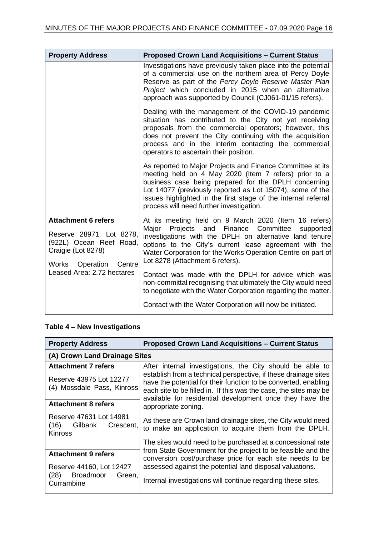| <b>Property Address</b>                                                                                                           | <b>Proposed Crown Land Acquisitions - Current Status</b>                                                                                                                                                                                                                                                                                               |
|-----------------------------------------------------------------------------------------------------------------------------------|--------------------------------------------------------------------------------------------------------------------------------------------------------------------------------------------------------------------------------------------------------------------------------------------------------------------------------------------------------|
|                                                                                                                                   | Investigations have previously taken place into the potential<br>of a commercial use on the northern area of Percy Doyle<br>Reserve as part of the Percy Doyle Reserve Master Plan<br>Project which concluded in 2015 when an alternative<br>approach was supported by Council (CJ061-01/15 refers).                                                   |
|                                                                                                                                   | Dealing with the management of the COVID-19 pandemic<br>situation has contributed to the City not yet receiving<br>proposals from the commercial operators; however, this<br>does not prevent the City continuing with the acquisition<br>process and in the interim contacting the commercial<br>operators to ascertain their position.               |
|                                                                                                                                   | As reported to Major Projects and Finance Committee at its<br>meeting held on 4 May 2020 (Item 7 refers) prior to a<br>business case being prepared for the DPLH concerning<br>Lot 14077 (previously reported as Lot 15074), some of the<br>issues highlighted in the first stage of the internal referral<br>process will need further investigation. |
| <b>Attachment 6 refers</b><br>Reserve 28971, Lot 8278,<br>(922L) Ocean Reef Road,<br>Craigie (Lot 8278)<br>Works Operation Centre | At its meeting held on 9 March 2020 (Item 16 refers)<br>Major<br>Projects and Finance Committee supported<br>investigations with the DPLH on alternative land tenure<br>options to the City's current lease agreement with the<br>Water Corporation for the Works Operation Centre on part of<br>Lot 8278 (Attachment 6 refers).                       |
| Leased Area: 2.72 hectares                                                                                                        | Contact was made with the DPLH for advice which was<br>non-committal recognising that ultimately the City would need<br>to negotiate with the Water Corporation regarding the matter.                                                                                                                                                                  |
|                                                                                                                                   | Contact with the Water Corporation will now be initiated.                                                                                                                                                                                                                                                                                              |

# **Table 4 – New Investigations**

| <b>Property Address</b>                                                             | <b>Proposed Crown Land Acquisitions - Current Status</b>                                                                                                                                                                                                                                                                                                |  |
|-------------------------------------------------------------------------------------|---------------------------------------------------------------------------------------------------------------------------------------------------------------------------------------------------------------------------------------------------------------------------------------------------------------------------------------------------------|--|
| (A) Crown Land Drainage Sites                                                       |                                                                                                                                                                                                                                                                                                                                                         |  |
| <b>Attachment 7 refers</b><br>Reserve 43975 Lot 12277<br>(4) Mossdale Pass, Kinross | After internal investigations, the City should be able to<br>establish from a technical perspective, if these drainage sites<br>have the potential for their function to be converted, enabling<br>each site to be filled in. If this was the case, the sites may be<br>available for residential development once they have the<br>appropriate zoning. |  |
| <b>Attachment 8 refers</b>                                                          |                                                                                                                                                                                                                                                                                                                                                         |  |
| Reserve 47631 Lot 14981<br>(16)<br>Gilbank<br>Crescent,<br><b>Kinross</b>           | As these are Crown land drainage sites, the City would need<br>to make an application to acquire them from the DPLH.                                                                                                                                                                                                                                    |  |
|                                                                                     | The sites would need to be purchased at a concessional rate                                                                                                                                                                                                                                                                                             |  |
| <b>Attachment 9 refers</b>                                                          | from State Government for the project to be feasible and the<br>conversion cost/purchase price for each site needs to be                                                                                                                                                                                                                                |  |
| Reserve 44160, Lot 12427                                                            | assessed against the potential land disposal valuations.                                                                                                                                                                                                                                                                                                |  |
| (28)<br><b>Broadmoor</b><br>Green,<br>Currambine                                    | Internal investigations will continue regarding these sites.                                                                                                                                                                                                                                                                                            |  |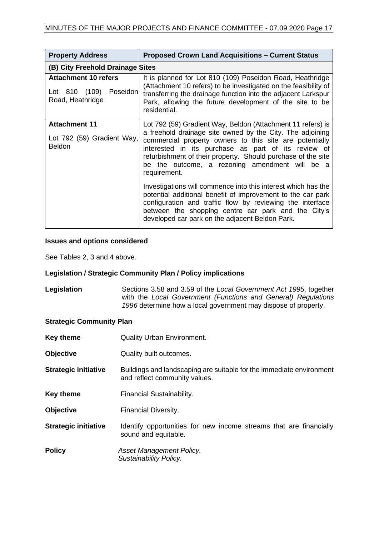| <b>Property Address</b>                                                      | <b>Proposed Crown Land Acquisitions - Current Status</b>                                                                                                                                                                                                                                                                                                                     |  |
|------------------------------------------------------------------------------|------------------------------------------------------------------------------------------------------------------------------------------------------------------------------------------------------------------------------------------------------------------------------------------------------------------------------------------------------------------------------|--|
| (B) City Freehold Drainage Sites                                             |                                                                                                                                                                                                                                                                                                                                                                              |  |
| <b>Attachment 10 refers</b><br>Poseidon<br>Lot 810 (109)<br>Road, Heathridge | It is planned for Lot 810 (109) Poseidon Road, Heathridge<br>(Attachment 10 refers) to be investigated on the feasibility of<br>transferring the drainage function into the adjacent Larkspur<br>Park, allowing the future development of the site to be<br>residential.                                                                                                     |  |
| <b>Attachment 11</b><br>Lot 792 (59) Gradient Way,<br><b>Beldon</b>          | Lot 792 (59) Gradient Way, Beldon (Attachment 11 refers) is<br>a freehold drainage site owned by the City. The adjoining<br>commercial property owners to this site are potentially<br>interested in its purchase as part of its review of<br>refurbishment of their property. Should purchase of the site<br>be the outcome, a rezoning amendment will be a<br>requirement. |  |
|                                                                              | Investigations will commence into this interest which has the<br>potential additional benefit of improvement to the car park<br>configuration and traffic flow by reviewing the interface<br>between the shopping centre car park and the City's<br>developed car park on the adjacent Beldon Park.                                                                          |  |

#### **Issues and options considered**

See Tables 2, 3 and 4 above.

#### **Legislation / Strategic Community Plan / Policy implications**

**Legislation** Sections 3.58 and 3.59 of the *Local Government Act 1995*, together with the *Local Government (Functions and General) Regulations 1996* determine how a local government may dispose of property.

#### **Strategic Community Plan**

| <b>Key theme</b>            | <b>Quality Urban Environment.</b>                                                                     |  |  |
|-----------------------------|-------------------------------------------------------------------------------------------------------|--|--|
| <b>Objective</b>            | Quality built outcomes.                                                                               |  |  |
| <b>Strategic initiative</b> | Buildings and landscaping are suitable for the immediate environment<br>and reflect community values. |  |  |
| <b>Key theme</b>            | Financial Sustainability.                                                                             |  |  |
| <b>Objective</b>            | Financial Diversity.                                                                                  |  |  |
| <b>Strategic initiative</b> | Identify opportunities for new income streams that are financially<br>sound and equitable.            |  |  |
| <b>Policy</b>               | Asset Management Policy.<br>Sustainability Policy.                                                    |  |  |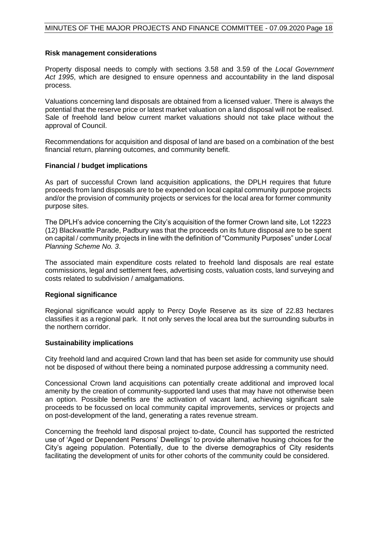#### **Risk management considerations**

Property disposal needs to comply with sections 3.58 and 3.59 of the *Local Government Act 1995*, which are designed to ensure openness and accountability in the land disposal process.

Valuations concerning land disposals are obtained from a licensed valuer. There is always the potential that the reserve price or latest market valuation on a land disposal will not be realised. Sale of freehold land below current market valuations should not take place without the approval of Council.

Recommendations for acquisition and disposal of land are based on a combination of the best financial return, planning outcomes, and community benefit.

#### **Financial / budget implications**

As part of successful Crown land acquisition applications, the DPLH requires that future proceeds from land disposals are to be expended on local capital community purpose projects and/or the provision of community projects or services for the local area for former community purpose sites.

The DPLH's advice concerning the City's acquisition of the former Crown land site, Lot 12223 (12) Blackwattle Parade, Padbury was that the proceeds on its future disposal are to be spent on capital / community projects in line with the definition of "Community Purposes" under *Local Planning Scheme No. 3*.

The associated main expenditure costs related to freehold land disposals are real estate commissions, legal and settlement fees, advertising costs, valuation costs, land surveying and costs related to subdivision / amalgamations.

#### **Regional significance**

Regional significance would apply to Percy Doyle Reserve as its size of 22.83 hectares classifies it as a regional park. It not only serves the local area but the surrounding suburbs in the northern corridor.

#### **Sustainability implications**

City freehold land and acquired Crown land that has been set aside for community use should not be disposed of without there being a nominated purpose addressing a community need.

Concessional Crown land acquisitions can potentially create additional and improved local amenity by the creation of community-supported land uses that may have not otherwise been an option. Possible benefits are the activation of vacant land, achieving significant sale proceeds to be focussed on local community capital improvements, services or projects and on post-development of the land, generating a rates revenue stream.

Concerning the freehold land disposal project to-date, Council has supported the restricted use of 'Aged or Dependent Persons' Dwellings' to provide alternative housing choices for the City's ageing population. Potentially, due to the diverse demographics of City residents facilitating the development of units for other cohorts of the community could be considered.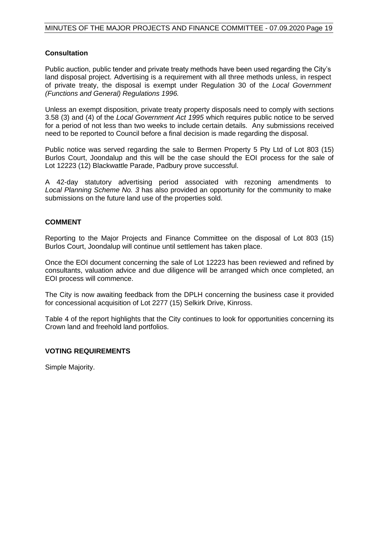#### **Consultation**

Public auction, public tender and private treaty methods have been used regarding the City's land disposal project. Advertising is a requirement with all three methods unless, in respect of private treaty, the disposal is exempt under Regulation 30 of the *Local Government (Functions and General) Regulations 1996.*

Unless an exempt disposition, private treaty property disposals need to comply with sections 3.58 (3) and (4) of the *Local Government Act 1995* which requires public notice to be served for a period of not less than two weeks to include certain details. Any submissions received need to be reported to Council before a final decision is made regarding the disposal.

Public notice was served regarding the sale to Bermen Property 5 Pty Ltd of Lot 803 (15) Burlos Court, Joondalup and this will be the case should the EOI process for the sale of Lot 12223 (12) Blackwattle Parade, Padbury prove successful.

A 42-day statutory advertising period associated with rezoning amendments to *Local Planning Scheme No. 3* has also provided an opportunity for the community to make submissions on the future land use of the properties sold.

#### **COMMENT**

Reporting to the Major Projects and Finance Committee on the disposal of Lot 803 (15) Burlos Court, Joondalup will continue until settlement has taken place.

Once the EOI document concerning the sale of Lot 12223 has been reviewed and refined by consultants, valuation advice and due diligence will be arranged which once completed, an EOI process will commence.

The City is now awaiting feedback from the DPLH concerning the business case it provided for concessional acquisition of Lot 2277 (15) Selkirk Drive, Kinross.

Table 4 of the report highlights that the City continues to look for opportunities concerning its Crown land and freehold land portfolios.

#### **VOTING REQUIREMENTS**

Simple Majority.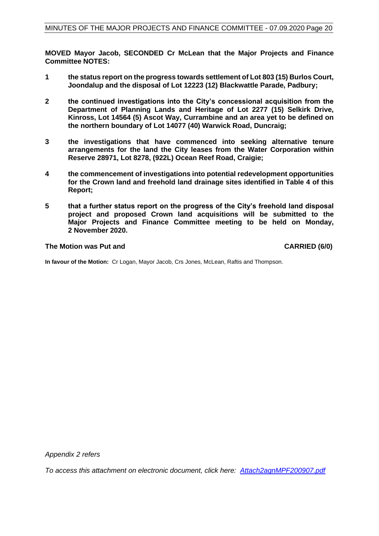**MOVED Mayor Jacob, SECONDED Cr McLean that the Major Projects and Finance Committee NOTES:**

- **1 the status report on the progress towards settlement of Lot 803 (15) Burlos Court, Joondalup and the disposal of Lot 12223 (12) Blackwattle Parade, Padbury;**
- **2 the continued investigations into the City's concessional acquisition from the Department of Planning Lands and Heritage of Lot 2277 (15) Selkirk Drive, Kinross, Lot 14564 (5) Ascot Way, Currambine and an area yet to be defined on the northern boundary of Lot 14077 (40) Warwick Road, Duncraig;**
- **3 the investigations that have commenced into seeking alternative tenure arrangements for the land the City leases from the Water Corporation within Reserve 28971, Lot 8278, (922L) Ocean Reef Road, Craigie;**
- **4 the commencement of investigations into potential redevelopment opportunities for the Crown land and freehold land drainage sites identified in Table 4 of this Report;**
- **5 that a further status report on the progress of the City's freehold land disposal project and proposed Crown land acquisitions will be submitted to the Major Projects and Finance Committee meeting to be held on Monday, 2 November 2020.**

#### **The Motion was Put and CARRIED (6/0)**

**In favour of the Motion:** Cr Logan, Mayor Jacob, Crs Jones, McLean, Raftis and Thompson.

*Appendix 2 refers*

*To access this attachment on electronic document, click here: [Attach2agnMPF200907.pdf](http://www.joondalup.wa.gov.au/files/committees/MPFI/2020/Attach2agnMPF200907.pdf)*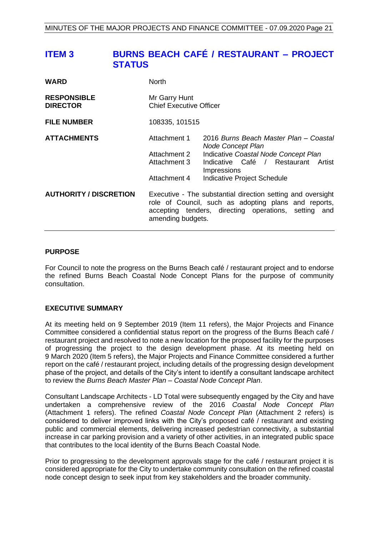# <span id="page-20-0"></span>**ITEM 3 BURNS BEACH CAFÉ / RESTAURANT – PROJECT STATUS**

| <b>WARD</b>                           | <b>North</b>                                                                                                                                                                                        |                                                                                                                                                                                                    |
|---------------------------------------|-----------------------------------------------------------------------------------------------------------------------------------------------------------------------------------------------------|----------------------------------------------------------------------------------------------------------------------------------------------------------------------------------------------------|
| <b>RESPONSIBLE</b><br><b>DIRECTOR</b> | Mr Garry Hunt<br><b>Chief Executive Officer</b>                                                                                                                                                     |                                                                                                                                                                                                    |
| <b>FILE NUMBER</b>                    | 108335, 101515                                                                                                                                                                                      |                                                                                                                                                                                                    |
| <b>ATTACHMENTS</b>                    | Attachment 1<br>Attachment 2<br>Attachment 3<br>Attachment 4                                                                                                                                        | 2016 Burns Beach Master Plan – Coastal<br><b>Node Concept Plan</b><br>Indicative Coastal Node Concept Plan<br>Indicative Café / Restaurant<br>Artist<br>Impressions<br>Indicative Project Schedule |
| <b>AUTHORITY / DISCRETION</b>         | Executive - The substantial direction setting and oversight<br>role of Council, such as adopting plans and reports,<br>accepting tenders, directing operations, setting<br>and<br>amending budgets. |                                                                                                                                                                                                    |

#### **PURPOSE**

For Council to note the progress on the Burns Beach café / restaurant project and to endorse the refined Burns Beach Coastal Node Concept Plans for the purpose of community consultation.

#### **EXECUTIVE SUMMARY**

At its meeting held on 9 September 2019 (Item 11 refers), the Major Projects and Finance Committee considered a confidential status report on the progress of the Burns Beach café / restaurant project and resolved to note a new location for the proposed facility for the purposes of progressing the project to the design development phase. At its meeting held on 9 March 2020 (Item 5 refers), the Major Projects and Finance Committee considered a further report on the café / restaurant project, including details of the progressing design development phase of the project, and details of the City's intent to identify a consultant landscape architect to review the *Burns Beach Master Plan – Coastal Node Concept Plan*.

Consultant Landscape Architects - LD Total were subsequently engaged by the City and have undertaken a comprehensive review of the 2016 *Coastal Node Concept Plan* (Attachment 1 refers). The refined *Coastal Node Concept Plan* (Attachment 2 refers) is considered to deliver improved links with the City's proposed café / restaurant and existing public and commercial elements, delivering increased pedestrian connectivity, a substantial increase in car parking provision and a variety of other activities, in an integrated public space that contributes to the local identity of the Burns Beach Coastal Node.

Prior to progressing to the development approvals stage for the café / restaurant project it is considered appropriate for the City to undertake community consultation on the refined coastal node concept design to seek input from key stakeholders and the broader community.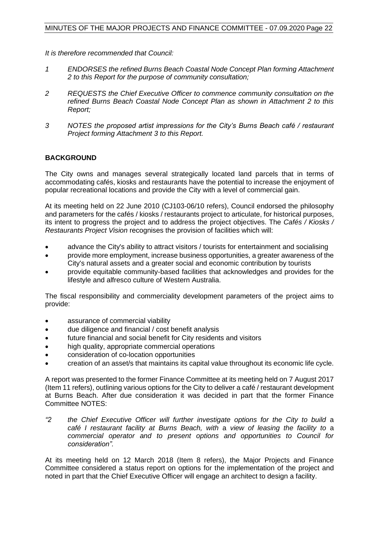*It is therefore recommended that Council:* 

- *1 ENDORSES the refined Burns Beach Coastal Node Concept Plan forming Attachment 2 to this Report for the purpose of community consultation;*
- *2 REQUESTS the Chief Executive Officer to commence community consultation on the refined Burns Beach Coastal Node Concept Plan as shown in Attachment 2 to this Report;*
- *3 NOTES the proposed artist impressions for the City's Burns Beach café / restaurant Project forming Attachment 3 to this Report.*

#### **BACKGROUND**

The City owns and manages several strategically located land parcels that in terms of accommodating cafés, kiosks and restaurants have the potential to increase the enjoyment of popular recreational locations and provide the City with a level of commercial gain.

At its meeting held on 22 June 2010 (CJ103-06/10 refers), Council endorsed the philosophy and parameters for the cafés / kiosks / restaurants project to articulate, for historical purposes, its intent to progress the project and to address the project objectives. The *Cafés / Kiosks / Restaurants Project Vision* recognises the provision of facilities which will:

- advance the City's ability to attract visitors / tourists for entertainment and socialising
- provide more employment, increase business opportunities, a greater awareness of the City's natural assets and a greater social and economic contribution by tourists
- provide equitable community-based facilities that acknowledges and provides for the lifestyle and alfresco culture of Western Australia.

The fiscal responsibility and commerciality development parameters of the project aims to provide:

- assurance of commercial viability
- due diligence and financial / cost benefit analysis
- future financial and social benefit for City residents and visitors
- high quality, appropriate commercial operations
- consideration of co-location opportunities
- creation of an asset/s that maintains its capital value throughout its economic life cycle.

A report was presented to the former Finance Committee at its meeting held on 7 August 2017 (Item 11 refers), outlining various options for the City to deliver a café / restaurant development at Burns Beach. After due consideration it was decided in part that the former Finance Committee NOTES:

*"2 the Chief Executive Officer will further investigate options for the City to build* a *café I restaurant facility at Burns Beach, with* a *view of leasing the facility to* a *commercial operator and to present options and opportunities to Council for consideration".*

At its meeting held on 12 March 2018 (Item 8 refers), the Major Projects and Finance Committee considered a status report on options for the implementation of the project and noted in part that the Chief Executive Officer will engage an architect to design a facility.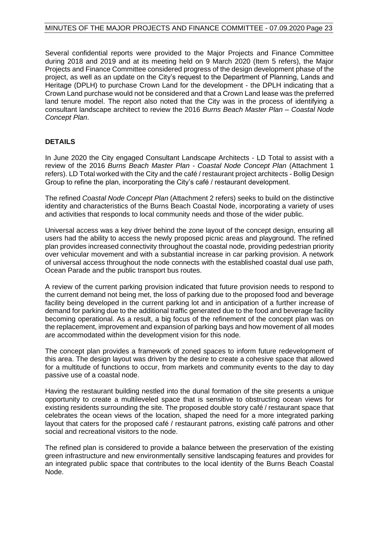Several confidential reports were provided to the Major Projects and Finance Committee during 2018 and 2019 and at its meeting held on 9 March 2020 (Item 5 refers), the Major Projects and Finance Committee considered progress of the design development phase of the project, as well as an update on the City's request to the Department of Planning, Lands and Heritage (DPLH) to purchase Crown Land for the development - the DPLH indicating that a Crown Land purchase would not be considered and that a Crown Land lease was the preferred land tenure model. The report also noted that the City was in the process of identifying a consultant landscape architect to review the 2016 *Burns Beach Master Plan – Coastal Node Concept Plan*.

#### **DETAILS**

In June 2020 the City engaged Consultant Landscape Architects - LD Total to assist with a review of the 2016 *Burns Beach Master Plan - Coastal Node Concept Plan* (Attachment 1 refers). LD Total worked with the City and the café / restaurant project architects - Bollig Design Group to refine the plan, incorporating the City's café / restaurant development.

The refined *Coastal Node Concept Plan* (Attachment 2 refers) seeks to build on the distinctive identity and characteristics of the Burns Beach Coastal Node, incorporating a variety of uses and activities that responds to local community needs and those of the wider public.

Universal access was a key driver behind the zone layout of the concept design, ensuring all users had the ability to access the newly proposed picnic areas and playground. The refined plan provides increased connectivity throughout the coastal node, providing pedestrian priority over vehicular movement and with a substantial increase in car parking provision. A network of universal access throughout the node connects with the established coastal dual use path, Ocean Parade and the public transport bus routes.

A review of the current parking provision indicated that future provision needs to respond to the current demand not being met, the loss of parking due to the proposed food and beverage facility being developed in the current parking lot and in anticipation of a further increase of demand for parking due to the additional traffic generated due to the food and beverage facility becoming operational. As a result, a big focus of the refinement of the concept plan was on the replacement, improvement and expansion of parking bays and how movement of all modes are accommodated within the development vision for this node.

The concept plan provides a framework of zoned spaces to inform future redevelopment of this area. The design layout was driven by the desire to create a cohesive space that allowed for a multitude of functions to occur, from markets and community events to the day to day passive use of a coastal node.

Having the restaurant building nestled into the dunal formation of the site presents a unique opportunity to create a multileveled space that is sensitive to obstructing ocean views for existing residents surrounding the site. The proposed double story café / restaurant space that celebrates the ocean views of the location, shaped the need for a more integrated parking layout that caters for the proposed café / restaurant patrons, existing café patrons and other social and recreational visitors to the node.

The refined plan is considered to provide a balance between the preservation of the existing green infrastructure and new environmentally sensitive landscaping features and provides for an integrated public space that contributes to the local identity of the Burns Beach Coastal Node.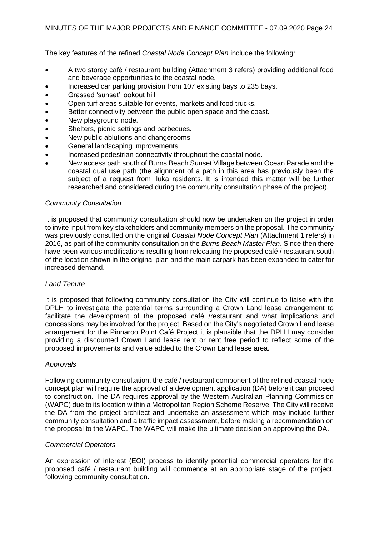The key features of the refined *Coastal Node Concept Plan* include the following:

- A two storey café / restaurant building (Attachment 3 refers) providing additional food and beverage opportunities to the coastal node.
- Increased car parking provision from 107 existing bays to 235 bays.
- Grassed 'sunset' lookout hill.
- Open turf areas suitable for events, markets and food trucks.
- Better connectivity between the public open space and the coast.
- New playground node.
- Shelters, picnic settings and barbecues.
- New public ablutions and changerooms.
- General landscaping improvements.
- Increased pedestrian connectivity throughout the coastal node.
- New access path south of Burns Beach Sunset Village between Ocean Parade and the coastal dual use path (the alignment of a path in this area has previously been the subject of a request from Iluka residents. It is intended this matter will be further researched and considered during the community consultation phase of the project).

#### *Community Consultation*

It is proposed that community consultation should now be undertaken on the project in order to invite input from key stakeholders and community members on the proposal. The community was previously consulted on the original *Coastal Node Concept Plan* (Attachment 1 refers) in 2016, as part of the community consultation on the *Burns Beach Master Plan*. Since then there have been various modifications resulting from relocating the proposed café / restaurant south of the location shown in the original plan and the main carpark has been expanded to cater for increased demand.

#### *Land Tenure*

It is proposed that following community consultation the City will continue to liaise with the DPLH to investigate the potential terms surrounding a Crown Land lease arrangement to facilitate the development of the proposed café /restaurant and what implications and concessions may be involved for the project. Based on the City's negotiated Crown Land lease arrangement for the Pinnaroo Point Café Project it is plausible that the DPLH may consider providing a discounted Crown Land lease rent or rent free period to reflect some of the proposed improvements and value added to the Crown Land lease area.

#### *Approvals*

Following community consultation, the café / restaurant component of the refined coastal node concept plan will require the approval of a development application (DA) before it can proceed to construction. The DA requires approval by the Western Australian Planning Commission (WAPC) due to its location within a Metropolitan Region Scheme Reserve. The City will receive the DA from the project architect and undertake an assessment which may include further community consultation and a traffic impact assessment, before making a recommendation on the proposal to the WAPC. The WAPC will make the ultimate decision on approving the DA.

#### *Commercial Operators*

An expression of interest (EOI) process to identify potential commercial operators for the proposed café / restaurant building will commence at an appropriate stage of the project, following community consultation.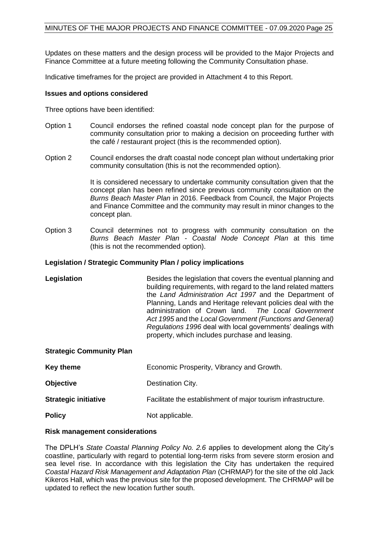Updates on these matters and the design process will be provided to the Major Projects and Finance Committee at a future meeting following the Community Consultation phase.

Indicative timeframes for the project are provided in Attachment 4 to this Report.

#### **Issues and options considered**

Three options have been identified:

- Option 1 Council endorses the refined coastal node concept plan for the purpose of community consultation prior to making a decision on proceeding further with the café / restaurant project (this is the recommended option).
- Option 2 Council endorses the draft coastal node concept plan without undertaking prior community consultation (this is not the recommended option).

It is considered necessary to undertake community consultation given that the concept plan has been refined since previous community consultation on the *Burns Beach Master Plan* in 2016. Feedback from Council, the Major Projects and Finance Committee and the community may result in minor changes to the concept plan.

Option 3 Council determines not to progress with community consultation on the *Burns Beach Master Plan - Coastal Node Concept Plan* at this time (this is not the recommended option).

#### **Legislation / Strategic Community Plan / policy implications**

**Legislation** Besides the legislation that covers the eventual planning and building requirements, with regard to the land related matters the *Land Administration Act 1997* and the Department of Planning, Lands and Heritage relevant policies deal with the administration of Crown land. *The Local Government Act 1995* and the *Local Government (Functions and General) Regulations 1996* deal with local governments' dealings with property, which includes purchase and leasing.

#### **Strategic Community Plan**

| Key theme                   | Economic Prosperity, Vibrancy and Growth.                     |
|-----------------------------|---------------------------------------------------------------|
| <b>Objective</b>            | Destination City.                                             |
| <b>Strategic initiative</b> | Facilitate the establishment of major tourism infrastructure. |
| <b>Policy</b>               | Not applicable.                                               |

#### **Risk management considerations**

The DPLH's *State Coastal Planning Policy No. 2.6* applies to development along the City's coastline, particularly with regard to potential long-term risks from severe storm erosion and sea level rise. In accordance with this legislation the City has undertaken the required *Coastal Hazard Risk Management and Adaptation Plan* (CHRMAP) for the site of the old Jack Kikeros Hall, which was the previous site for the proposed development. The CHRMAP will be updated to reflect the new location further south.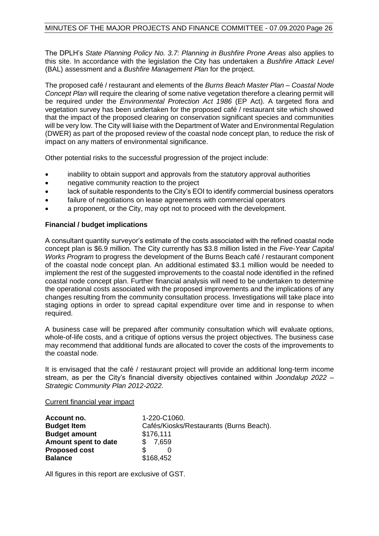The DPLH's *State Planning Policy No. 3.7: Planning in Bushfire Prone Areas* also applies to this site. In accordance with the legislation the City has undertaken a *Bushfire Attack Level* (BAL) assessment and a *Bushfire Management Plan* for the project.

The proposed café / restaurant and elements of the *Burns Beach Master Plan – Coastal Node Concept Plan* will require the clearing of some native vegetation therefore a clearing permit will be required under the *Environmental Protection Act 1986* (EP Act). A targeted flora and vegetation survey has been undertaken for the proposed café / restaurant site which showed that the impact of the proposed clearing on conservation significant species and communities will be very low. The City will liaise with the Department of Water and Environmental Regulation (DWER) as part of the proposed review of the coastal node concept plan, to reduce the risk of impact on any matters of environmental significance.

Other potential risks to the successful progression of the project include:

- inability to obtain support and approvals from the statutory approval authorities
- negative community reaction to the project
- lack of suitable respondents to the City's EOI to identify commercial business operators
- failure of negotiations on lease agreements with commercial operators
- a proponent, or the City, may opt not to proceed with the development.

#### **Financial / budget implications**

A consultant quantity surveyor's estimate of the costs associated with the refined coastal node concept plan is \$6.9 million. The City currently has \$3.8 million listed in the *Five-Year Capital Works Program* to progress the development of the Burns Beach café / restaurant component of the coastal node concept plan. An additional estimated \$3.1 million would be needed to implement the rest of the suggested improvements to the coastal node identified in the refined coastal node concept plan. Further financial analysis will need to be undertaken to determine the operational costs associated with the proposed improvements and the implications of any changes resulting from the community consultation process. Investigations will take place into staging options in order to spread capital expenditure over time and in response to when required.

A business case will be prepared after community consultation which will evaluate options, whole-of-life costs, and a critique of options versus the project objectives. The business case may recommend that additional funds are allocated to cover the costs of the improvements to the coastal node.

It is envisaged that the café / restaurant project will provide an additional long-term income stream, as per the City's financial diversity objectives contained within *Joondalup 2022 – Strategic Community Plan 2012-2022*.

#### Current financial year impact

| Account no.          | 1-220-C1060.                            |
|----------------------|-----------------------------------------|
| <b>Budget Item</b>   | Cafés/Kiosks/Restaurants (Burns Beach). |
| <b>Budget amount</b> | \$176,111                               |
| Amount spent to date | \$ 7,659                                |
| <b>Proposed cost</b> | ß.                                      |
| <b>Balance</b>       | \$168,452                               |

All figures in this report are exclusive of GST.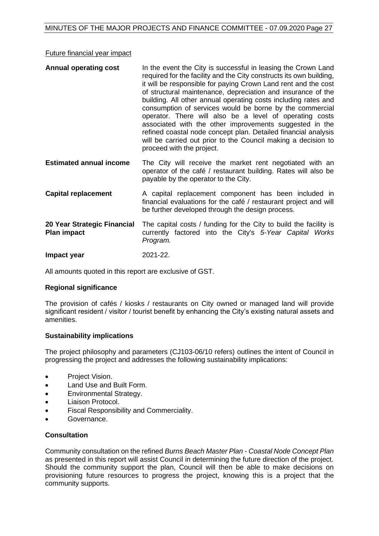#### Future financial year impact

| <b>Annual operating cost</b>   | In the event the City is successful in leasing the Crown Land<br>required for the facility and the City constructs its own building,<br>it will be responsible for paying Crown Land rent and the cost<br>of structural maintenance, depreciation and insurance of the<br>building. All other annual operating costs including rates and<br>consumption of services would be borne by the commercial<br>operator. There will also be a level of operating costs<br>associated with the other improvements suggested in the<br>refined coastal node concept plan. Detailed financial analysis<br>will be carried out prior to the Council making a decision to<br>proceed with the project. |
|--------------------------------|--------------------------------------------------------------------------------------------------------------------------------------------------------------------------------------------------------------------------------------------------------------------------------------------------------------------------------------------------------------------------------------------------------------------------------------------------------------------------------------------------------------------------------------------------------------------------------------------------------------------------------------------------------------------------------------------|
| <b>Estimated annual income</b> | The City will receive the market rent negotiated with an                                                                                                                                                                                                                                                                                                                                                                                                                                                                                                                                                                                                                                   |

- **Estimated annual income** The City will receive the market rent negotiated with an operator of the café / restaurant building. Rates will also be payable by the operator to the City.
- **Capital replacement** A capital replacement component has been included in financial evaluations for the café / restaurant project and will be further developed through the design process.
- **20 Year Strategic Financial Plan impact**  The capital costs / funding for the City to build the facility is currently factored into the City's *5-Year Capital Works Program.*

**Impact year** 2021-22.

All amounts quoted in this report are exclusive of GST.

#### **Regional significance**

The provision of cafés / kiosks / restaurants on City owned or managed land will provide significant resident / visitor / tourist benefit by enhancing the City's existing natural assets and amenities.

#### **Sustainability implications**

The project philosophy and parameters (CJ103-06/10 refers) outlines the intent of Council in progressing the project and addresses the following sustainability implications:

- Project Vision.
- Land Use and Built Form.
- Environmental Strategy.
- Liaison Protocol.
- Fiscal Responsibility and Commerciality.
- Governance.

#### **Consultation**

Community consultation on the refined *Burns Beach Master Plan - Coastal Node Concept Plan* as presented in this report will assist Council in determining the future direction of the project. Should the community support the plan, Council will then be able to make decisions on provisioning future resources to progress the project, knowing this is a project that the community supports.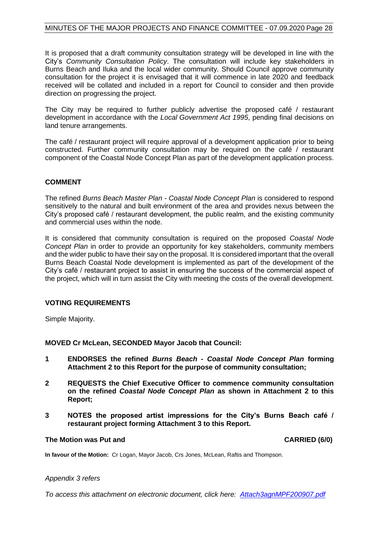It is proposed that a draft community consultation strategy will be developed in line with the City's *Community Consultation Policy*. The consultation will include key stakeholders in Burns Beach and Iluka and the local wider community. Should Council approve community consultation for the project it is envisaged that it will commence in late 2020 and feedback received will be collated and included in a report for Council to consider and then provide direction on progressing the project.

The City may be required to further publicly advertise the proposed café / restaurant development in accordance with the *Local Government Act 1995*, pending final decisions on land tenure arrangements.

The café / restaurant project will require approval of a development application prior to being constructed. Further community consultation may be required on the café / restaurant component of the Coastal Node Concept Plan as part of the development application process.

#### **COMMENT**

The refined *Burns Beach Master Plan - Coastal Node Concept Plan* is considered to respond sensitively to the natural and built environment of the area and provides nexus between the City's proposed café / restaurant development, the public realm, and the existing community and commercial uses within the node.

It is considered that community consultation is required on the proposed *Coastal Node Concept Plan* in order to provide an opportunity for key stakeholders, community members and the wider public to have their say on the proposal. It is considered important that the overall Burns Beach Coastal Node development is implemented as part of the development of the City's café / restaurant project to assist in ensuring the success of the commercial aspect of the project, which will in turn assist the City with meeting the costs of the overall development.

#### **VOTING REQUIREMENTS**

Simple Majority.

**MOVED Cr McLean, SECONDED Mayor Jacob that Council:**

- **1 ENDORSES the refined** *Burns Beach - Coastal Node Concept Plan* **forming Attachment 2 to this Report for the purpose of community consultation;**
- **2 REQUESTS the Chief Executive Officer to commence community consultation on the refined** *Coastal Node Concept Plan* **as shown in Attachment 2 to this Report;**
- **3 NOTES the proposed artist impressions for the City's Burns Beach café / restaurant project forming Attachment 3 to this Report.**

#### **The Motion was Put and CARRIED (6/0)**

**In favour of the Motion:** Cr Logan, Mayor Jacob, Crs Jones, McLean, Raftis and Thompson.

#### *Appendix 3 refers*

*To access this attachment on electronic document, click her[e: Attach3agnMPF200907.pdf](http://www.joondalup.wa.gov.au/files/committees/MPFI/2020/Attach3agnMPF200907.pdf)*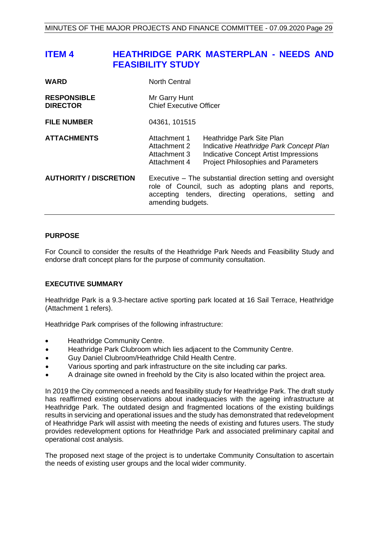## <span id="page-28-0"></span>**ITEM 4 HEATHRIDGE PARK MASTERPLAN - NEEDS AND FEASIBILITY STUDY**

| <b>WARD</b>                           | <b>North Central</b>                                         |                                                                                                                                                                             |
|---------------------------------------|--------------------------------------------------------------|-----------------------------------------------------------------------------------------------------------------------------------------------------------------------------|
| <b>RESPONSIBLE</b><br><b>DIRECTOR</b> | Mr Garry Hunt<br><b>Chief Executive Officer</b>              |                                                                                                                                                                             |
| <b>FILE NUMBER</b>                    | 04361, 101515                                                |                                                                                                                                                                             |
| <b>ATTACHMENTS</b>                    | Attachment 1<br>Attachment 2<br>Attachment 3<br>Attachment 4 | Heathridge Park Site Plan<br>Indicative Heathridge Park Concept Plan<br><b>Indicative Concept Artist Impressions</b><br><b>Project Philosophies and Parameters</b>          |
| <b>AUTHORITY / DISCRETION</b>         | amending budgets.                                            | Executive – The substantial direction setting and oversight<br>role of Council, such as adopting plans and reports,<br>accepting tenders, directing operations, setting and |

#### **PURPOSE**

For Council to consider the results of the Heathridge Park Needs and Feasibility Study and endorse draft concept plans for the purpose of community consultation.

#### **EXECUTIVE SUMMARY**

Heathridge Park is a 9.3-hectare active sporting park located at 16 Sail Terrace, Heathridge (Attachment 1 refers).

Heathridge Park comprises of the following infrastructure:

- Heathridge Community Centre.
- Heathridge Park Clubroom which lies adjacent to the Community Centre.
- Guy Daniel Clubroom/Heathridge Child Health Centre.
- Various sporting and park infrastructure on the site including car parks.
- A drainage site owned in freehold by the City is also located within the project area.

In 2019 the City commenced a needs and feasibility study for Heathridge Park. The draft study has reaffirmed existing observations about inadequacies with the ageing infrastructure at Heathridge Park. The outdated design and fragmented locations of the existing buildings results in servicing and operational issues and the study has demonstrated that redevelopment of Heathridge Park will assist with meeting the needs of existing and futures users. The study provides redevelopment options for Heathridge Park and associated preliminary capital and operational cost analysis.

The proposed next stage of the project is to undertake Community Consultation to ascertain the needs of existing user groups and the local wider community.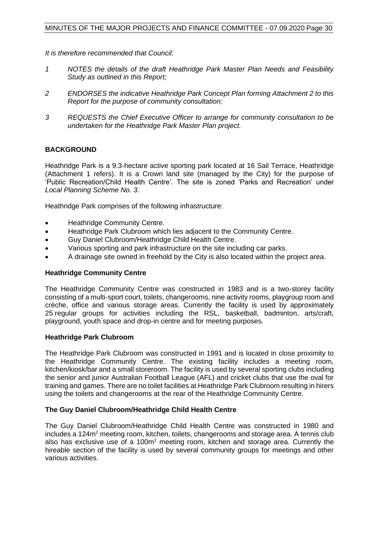*It is therefore recommended that Council:*

- *1 NOTES the details of the draft Heathridge Park Master Plan Needs and Feasibility Study as outlined in this Report;*
- *2 ENDORSES the indicative Heathridge Park Concept Plan forming Attachment 2 to this Report for the purpose of community consultation;*
- *3 REQUESTS the Chief Executive Officer to arrange for community consultation to be undertaken for the Heathridge Park Master Plan project.*

#### **BACKGROUND**

Heathridge Park is a 9.3-hectare active sporting park located at 16 Sail Terrace, Heathridge (Attachment 1 refers). It is a Crown land site (managed by the City) for the purpose of 'Public Recreation/Child Health Centre'. The site is zoned 'Parks and Recreation' under *Local Planning Scheme No. 3*.

Heathridge Park comprises of the following infrastructure:

- Heathridge Community Centre.
- Heathridge Park Clubroom which lies adjacent to the Community Centre.
- Guy Daniel Clubroom/Heathridge Child Health Centre.
- Various sporting and park infrastructure on the site including car parks.
- A drainage site owned in freehold by the City is also located within the project area.

#### **Heathridge Community Centre**

The Heathridge Community Centre was constructed in 1983 and is a two-storey facility consisting of a multi-sport court, toilets, changerooms, nine activity rooms, playgroup room and crèche, office and various storage areas. Currently the facility is used by approximately 25 regular groups for activities including the RSL, basketball, badminton, arts/craft, playground, youth space and drop-in centre and for meeting purposes.

#### **Heathridge Park Clubroom**

The Heathridge Park Clubroom was constructed in 1991 and is located in close proximity to the Heathridge Community Centre. The existing facility includes a meeting room, kitchen/kiosk/bar and a small storeroom. The facility is used by several sporting clubs including the senior and junior Australian Football League (AFL) and cricket clubs that use the oval for training and games. There are no toilet facilities at Heathridge Park Clubroom resulting in hirers using the toilets and changerooms at the rear of the Heathridge Community Centre.

#### **The Guy Daniel Clubroom/Heathridge Child Health Centre**

The Guy Daniel Clubroom/Heathridge Child Health Centre was constructed in 1980 and  $includes a 124m<sup>2</sup> meeting room, kitchen, toilets, changerooms and storage area. A tennis club$ also has exclusive use of a 100m<sup>2</sup> meeting room, kitchen and storage area. Currently the hireable section of the facility is used by several community groups for meetings and other various activities.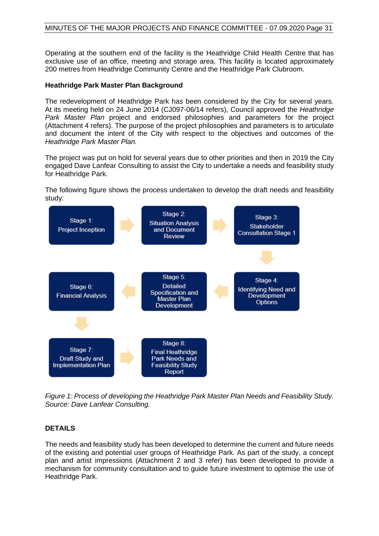Operating at the southern end of the facility is the Heathridge Child Health Centre that has exclusive use of an office, meeting and storage area. This facility is located approximately 200 metres from Heathridge Community Centre and the Heathridge Park Clubroom.

#### **Heathridge Park Master Plan Background**

The redevelopment of Heathridge Park has been considered by the City for several years. At its meeting held on 24 June 2014 (CJ097-06/14 refers), Council approved the *Heathridge Park Master Plan* project and endorsed philosophies and parameters for the project (Attachment 4 refers). The purpose of the project philosophies and parameters is to articulate and document the intent of the City with respect to the objectives and outcomes of the *Heathridge Park Master Plan.*

The project was put on hold for several years due to other priorities and then in 2019 the City engaged Dave Lanfear Consulting to assist the City to undertake a needs and feasibility study for Heathridge Park.

The following figure shows the process undertaken to develop the draft needs and feasibility study:



*Figure 1: Process of developing the Heathridge Park Master Plan Needs and Feasibility Study. Source: Dave Lanfear Consulting.*

#### **DETAILS**

The needs and feasibility study has been developed to determine the current and future needs of the existing and potential user groups of Heathridge Park. As part of the study, a concept plan and artist impressions (Attachment 2 and 3 refer) has been developed to provide a mechanism for community consultation and to guide future investment to optimise the use of Heathridge Park.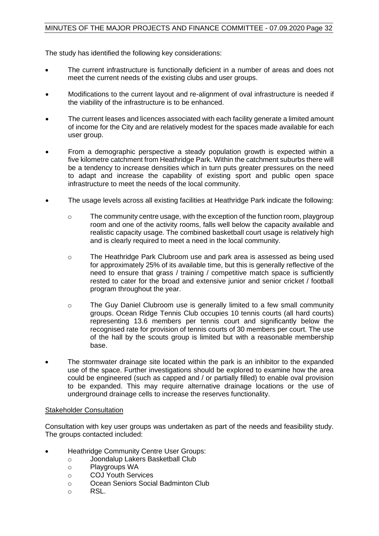The study has identified the following key considerations:

- The current infrastructure is functionally deficient in a number of areas and does not meet the current needs of the existing clubs and user groups.
- Modifications to the current layout and re-alignment of oval infrastructure is needed if the viability of the infrastructure is to be enhanced.
- The current leases and licences associated with each facility generate a limited amount of income for the City and are relatively modest for the spaces made available for each user group.
- From a demographic perspective a steady population growth is expected within a five kilometre catchment from Heathridge Park. Within the catchment suburbs there will be a tendency to increase densities which in turn puts greater pressures on the need to adapt and increase the capability of existing sport and public open space infrastructure to meet the needs of the local community.
- The usage levels across all existing facilities at Heathridge Park indicate the following:
	- o The community centre usage, with the exception of the function room, playgroup room and one of the activity rooms, falls well below the capacity available and realistic capacity usage. The combined basketball court usage is relatively high and is clearly required to meet a need in the local community.
	- o The Heathridge Park Clubroom use and park area is assessed as being used for approximately 25% of its available time, but this is generally reflective of the need to ensure that grass / training / competitive match space is sufficiently rested to cater for the broad and extensive junior and senior cricket / football program throughout the year.
	- o The Guy Daniel Clubroom use is generally limited to a few small community groups. Ocean Ridge Tennis Club occupies 10 tennis courts (all hard courts) representing 13.6 members per tennis court and significantly below the recognised rate for provision of tennis courts of 30 members per court. The use of the hall by the scouts group is limited but with a reasonable membership base.
- The stormwater drainage site located within the park is an inhibitor to the expanded use of the space. Further investigations should be explored to examine how the area could be engineered (such as capped and / or partially filled) to enable oval provision to be expanded. This may require alternative drainage locations or the use of underground drainage cells to increase the reserves functionality.

#### Stakeholder Consultation

Consultation with key user groups was undertaken as part of the needs and feasibility study. The groups contacted included:

- Heathridge Community Centre User Groups:
	- o Joondalup Lakers Basketball Club
	- o Playgroups WA
	- o COJ Youth Services
	- o Ocean Seniors Social Badminton Club
	- o RSL.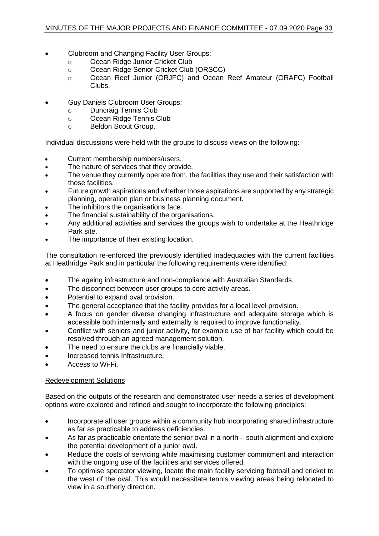- Clubroom and Changing Facility User Groups:
	- o Ocean Ridge Junior Cricket Club
	- o Ocean Ridge Senior Cricket Club (ORSCC)
	- o Ocean Reef Junior (ORJFC) and Ocean Reef Amateur (ORAFC) Football Clubs.
- Guy Daniels Clubroom User Groups:
	- o Duncraig Tennis Club
	- o Ocean Ridge Tennis Club
	- o Beldon Scout Group.

Individual discussions were held with the groups to discuss views on the following:

- Current membership numbers/users.
- The nature of services that they provide.
- The venue they currently operate from, the facilities they use and their satisfaction with those facilities.
- Future growth aspirations and whether those aspirations are supported by any strategic planning, operation plan or business planning document.
- The inhibitors the organisations face.
- The financial sustainability of the organisations.
- Any additional activities and services the groups wish to undertake at the Heathridge Park site.
- The importance of their existing location.

The consultation re-enforced the previously identified inadequacies with the current facilities at Heathridge Park and in particular the following requirements were identified:

- The ageing infrastructure and non-compliance with Australian Standards.
- The disconnect between user groups to core activity areas.
- Potential to expand oval provision.
- The general acceptance that the facility provides for a local level provision.
- A focus on gender diverse changing infrastructure and adequate storage which is accessible both internally and externally is required to improve functionality.
- Conflict with seniors and junior activity, for example use of bar facility which could be resolved through an agreed management solution.
- The need to ensure the clubs are financially viable.
- Increased tennis Infrastructure.
- Access to Wi-Fi.

#### Redevelopment Solutions

Based on the outputs of the research and demonstrated user needs a series of development options were explored and refined and sought to incorporate the following principles:

- Incorporate all user groups within a community hub incorporating shared infrastructure as far as practicable to address deficiencies.
- As far as practicable orientate the senior oval in a north south alignment and explore the potential development of a junior oval.
- Reduce the costs of servicing while maximising customer commitment and interaction with the ongoing use of the facilities and services offered.
- To optimise spectator viewing, locate the main facility servicing football and cricket to the west of the oval. This would necessitate tennis viewing areas being relocated to view in a southerly direction.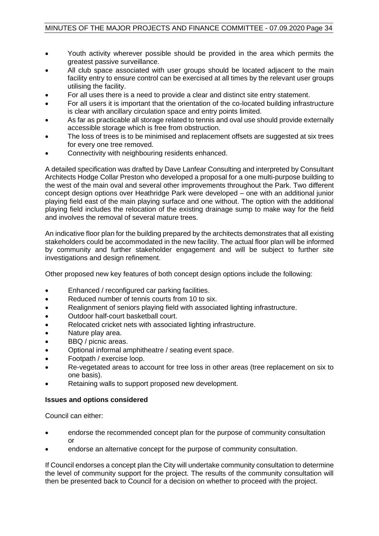- Youth activity wherever possible should be provided in the area which permits the greatest passive surveillance.
- All club space associated with user groups should be located adjacent to the main facility entry to ensure control can be exercised at all times by the relevant user groups utilising the facility.
- For all uses there is a need to provide a clear and distinct site entry statement.
- For all users it is important that the orientation of the co-located building infrastructure is clear with ancillary circulation space and entry points limited.
- As far as practicable all storage related to tennis and oval use should provide externally accessible storage which is free from obstruction.
- The loss of trees is to be minimised and replacement offsets are suggested at six trees for every one tree removed.
- Connectivity with neighbouring residents enhanced.

A detailed specification was drafted by Dave Lanfear Consulting and interpreted by Consultant Architects Hodge Collar Preston who developed a proposal for a one multi-purpose building to the west of the main oval and several other improvements throughout the Park. Two different concept design options over Heathridge Park were developed – one with an additional junior playing field east of the main playing surface and one without. The option with the additional playing field includes the relocation of the existing drainage sump to make way for the field and involves the removal of several mature trees.

An indicative floor plan for the building prepared by the architects demonstrates that all existing stakeholders could be accommodated in the new facility. The actual floor plan will be informed by community and further stakeholder engagement and will be subject to further site investigations and design refinement.

Other proposed new key features of both concept design options include the following:

- Enhanced / reconfigured car parking facilities.
- Reduced number of tennis courts from 10 to six.
- Realignment of seniors playing field with associated lighting infrastructure.
- Outdoor half-court basketball court.
- Relocated cricket nets with associated lighting infrastructure.
- Nature play area.
- BBQ / picnic areas.
- Optional informal amphitheatre / seating event space.
- Footpath / exercise loop.
- Re-vegetated areas to account for tree loss in other areas (tree replacement on six to one basis).
- Retaining walls to support proposed new development.

#### **Issues and options considered**

Council can either:

- endorse the recommended concept plan for the purpose of community consultation or
- endorse an alternative concept for the purpose of community consultation.

If Council endorses a concept plan the City will undertake community consultation to determine the level of community support for the project. The results of the community consultation will then be presented back to Council for a decision on whether to proceed with the project.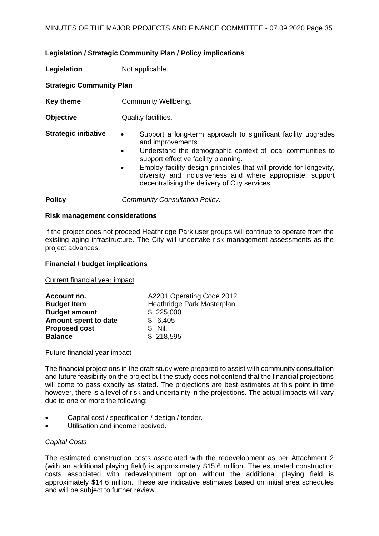#### **Legislation / Strategic Community Plan / Policy implications**

**Legislation** Not applicable.

#### **Strategic Community Plan**

- **Key theme Community Wellbeing.**
- **Objective** Quality facilities.
- **Strategic initiative •** Support a long-term approach to significant facility upgrades and improvements.
	- Understand the demographic context of local communities to support effective facility planning.
	- Employ facility design principles that will provide for longevity, diversity and inclusiveness and where appropriate, support decentralising the delivery of City services.

**Policy** *Community Consultation Policy.*

#### **Risk management considerations**

If the project does not proceed Heathridge Park user groups will continue to operate from the existing aging infrastructure. The City will undertake risk management assessments as the project advances.

#### **Financial / budget implications**

Current financial year impact

| Account no.          | A2201 Operating Code 2012.  |
|----------------------|-----------------------------|
| <b>Budget Item</b>   | Heathridge Park Masterplan. |
| <b>Budget amount</b> | \$225,000                   |
| Amount spent to date | \$6,405                     |
| <b>Proposed cost</b> | S Nil.                      |
| <b>Balance</b>       | \$218,595                   |

#### Future financial year impact

The financial projections in the draft study were prepared to assist with community consultation and future feasibility on the project but the study does not contend that the financial projections will come to pass exactly as stated. The projections are best estimates at this point in time however, there is a level of risk and uncertainty in the projections. The actual impacts will vary due to one or more the following:

- Capital cost / specification / design / tender.
- Utilisation and income received.

#### *Capital Costs*

The estimated construction costs associated with the redevelopment as per Attachment 2 (with an additional playing field) is approximately \$15.6 million. The estimated construction costs associated with redevelopment option without the additional playing field is approximately \$14.6 million. These are indicative estimates based on initial area schedules and will be subject to further review.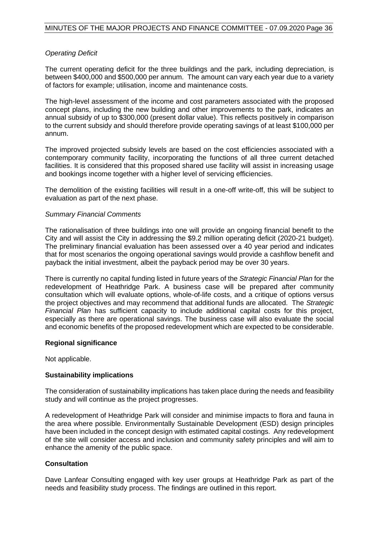#### *Operating Deficit*

The current operating deficit for the three buildings and the park, including depreciation, is between \$400,000 and \$500,000 per annum. The amount can vary each year due to a variety of factors for example; utilisation, income and maintenance costs.

The high-level assessment of the income and cost parameters associated with the proposed concept plans, including the new building and other improvements to the park, indicates an annual subsidy of up to \$300,000 (present dollar value). This reflects positively in comparison to the current subsidy and should therefore provide operating savings of at least \$100,000 per annum.

The improved projected subsidy levels are based on the cost efficiencies associated with a contemporary community facility, incorporating the functions of all three current detached facilities. It is considered that this proposed shared use facility will assist in increasing usage and bookings income together with a higher level of servicing efficiencies.

The demolition of the existing facilities will result in a one-off write-off, this will be subject to evaluation as part of the next phase.

#### *Summary Financial Comments*

The rationalisation of three buildings into one will provide an ongoing financial benefit to the City and will assist the City in addressing the \$9.2 million operating deficit (2020-21 budget). The preliminary financial evaluation has been assessed over a 40 year period and indicates that for most scenarios the ongoing operational savings would provide a cashflow benefit and payback the initial investment, albeit the payback period may be over 30 years.

There is currently no capital funding listed in future years of the *Strategic Financial Plan* for the redevelopment of Heathridge Park. A business case will be prepared after community consultation which will evaluate options, whole-of-life costs, and a critique of options versus the project objectives and may recommend that additional funds are allocated. The *Strategic Financial Plan* has sufficient capacity to include additional capital costs for this project, especially as there are operational savings. The business case will also evaluate the social and economic benefits of the proposed redevelopment which are expected to be considerable.

#### **Regional significance**

Not applicable.

#### **Sustainability implications**

The consideration of sustainability implications has taken place during the needs and feasibility study and will continue as the project progresses.

A redevelopment of Heathridge Park will consider and minimise impacts to flora and fauna in the area where possible. Environmentally Sustainable Development (ESD) design principles have been included in the concept design with estimated capital costings. Any redevelopment of the site will consider access and inclusion and community safety principles and will aim to enhance the amenity of the public space.

#### **Consultation**

Dave Lanfear Consulting engaged with key user groups at Heathridge Park as part of the needs and feasibility study process. The findings are outlined in this report.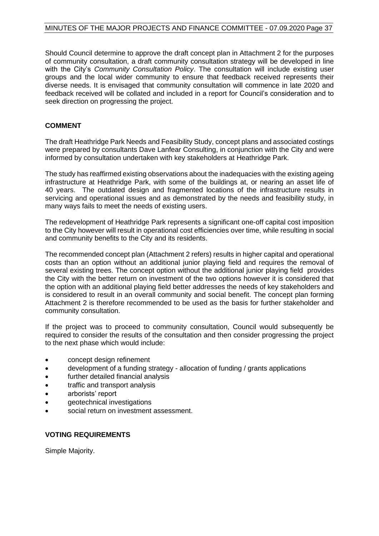Should Council determine to approve the draft concept plan in Attachment 2 for the purposes of community consultation, a draft community consultation strategy will be developed in line with the City's *Community Consultation Policy*. The consultation will include existing user groups and the local wider community to ensure that feedback received represents their diverse needs. It is envisaged that community consultation will commence in late 2020 and feedback received will be collated and included in a report for Council's consideration and to seek direction on progressing the project.

#### **COMMENT**

The draft Heathridge Park Needs and Feasibility Study, concept plans and associated costings were prepared by consultants Dave Lanfear Consulting, in conjunction with the City and were informed by consultation undertaken with key stakeholders at Heathridge Park.

The study has reaffirmed existing observations about the inadequacies with the existing ageing infrastructure at Heathridge Park, with some of the buildings at, or nearing an asset life of 40 years. The outdated design and fragmented locations of the infrastructure results in servicing and operational issues and as demonstrated by the needs and feasibility study, in many ways fails to meet the needs of existing users.

The redevelopment of Heathridge Park represents a significant one-off capital cost imposition to the City however will result in operational cost efficiencies over time, while resulting in social and community benefits to the City and its residents.

The recommended concept plan (Attachment 2 refers) results in higher capital and operational costs than an option without an additional junior playing field and requires the removal of several existing trees. The concept option without the additional junior playing field provides the City with the better return on investment of the two options however it is considered that the option with an additional playing field better addresses the needs of key stakeholders and is considered to result in an overall community and social benefit. The concept plan forming Attachment 2 is therefore recommended to be used as the basis for further stakeholder and community consultation.

If the project was to proceed to community consultation, Council would subsequently be required to consider the results of the consultation and then consider progressing the project to the next phase which would include:

- concept design refinement
- development of a funding strategy allocation of funding / grants applications
- further detailed financial analysis
- traffic and transport analysis
- arborists' report
- geotechnical investigations
- social return on investment assessment.

#### **VOTING REQUIREMENTS**

Simple Majority.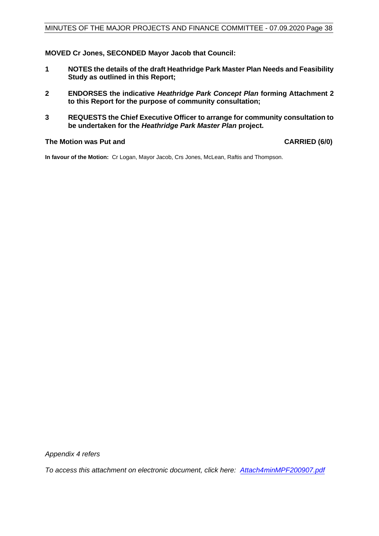**MOVED Cr Jones, SECONDED Mayor Jacob that Council:**

- **1 NOTES the details of the draft Heathridge Park Master Plan Needs and Feasibility Study as outlined in this Report;**
- **2 ENDORSES the indicative** *Heathridge Park Concept Plan* **forming Attachment 2 to this Report for the purpose of community consultation;**
- **3 REQUESTS the Chief Executive Officer to arrange for community consultation to be undertaken for the** *Heathridge Park Master Plan* **project.**

#### **The Motion was Put and CARRIED (6/0)**

**In favour of the Motion:** Cr Logan, Mayor Jacob, Crs Jones, McLean, Raftis and Thompson.

*Appendix 4 refers* 

*To access this attachment on electronic document, click here: Attach4min[MPF200907.pdf](http://www.joondalup.wa.gov.au/files/committees/MPFI/2020/Attach4minMPF200907.pdf)*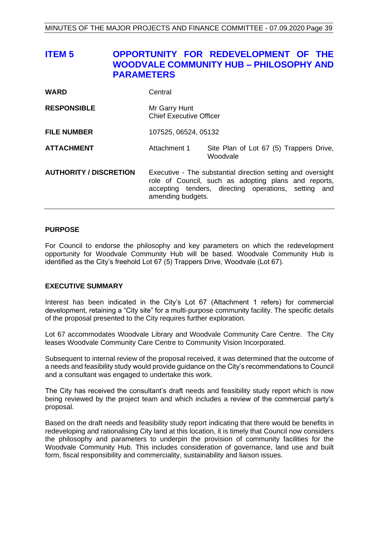<span id="page-38-0"></span>

| <b>ITEM<sub>5</sub></b>       | <b>PARAMETERS</b> |                                                                                                                                                                                                  | OPPORTUNITY FOR REDEVELOPMENT OF THE<br><b>WOODVALE COMMUNITY HUB - PHILOSOPHY AND</b> |
|-------------------------------|-------------------|--------------------------------------------------------------------------------------------------------------------------------------------------------------------------------------------------|----------------------------------------------------------------------------------------|
| <b>WARD</b>                   |                   | Central                                                                                                                                                                                          |                                                                                        |
| <b>RESPONSIBLE</b>            |                   | Mr Garry Hunt<br><b>Chief Executive Officer</b>                                                                                                                                                  |                                                                                        |
| <b>FILE NUMBER</b>            |                   | 107525, 06524, 05132                                                                                                                                                                             |                                                                                        |
| <b>ATTACHMENT</b>             |                   | Attachment 1                                                                                                                                                                                     | Site Plan of Lot 67 (5) Trappers Drive,<br>Woodvale                                    |
| <b>AUTHORITY / DISCRETION</b> |                   | Executive - The substantial direction setting and oversight<br>role of Council, such as adopting plans and reports,<br>accepting tenders, directing operations, setting and<br>amending budgets. |                                                                                        |

#### **PURPOSE**

For Council to endorse the philosophy and key parameters on which the redevelopment opportunity for Woodvale Community Hub will be based. Woodvale Community Hub is identified as the City's freehold Lot 67 (5) Trappers Drive, Woodvale (Lot 67).

#### **EXECUTIVE SUMMARY**

Interest has been indicated in the City's Lot 67 (Attachment 1 refers) for commercial development, retaining a "City site" for a multi-purpose community facility. The specific details of the proposal presented to the City requires further exploration.

Lot 67 accommodates Woodvale Library and Woodvale Community Care Centre. The City leases Woodvale Community Care Centre to Community Vision Incorporated.

Subsequent to internal review of the proposal received, it was determined that the outcome of a needs and feasibility study would provide guidance on the City's recommendations to Council and a consultant was engaged to undertake this work.

The City has received the consultant's draft needs and feasibility study report which is now being reviewed by the project team and which includes a review of the commercial party's proposal.

Based on the draft needs and feasibility study report indicating that there would be benefits in redeveloping and rationalising City land at this location, it is timely that Council now considers the philosophy and parameters to underpin the provision of community facilities for the Woodvale Community Hub. This includes consideration of governance, land use and built form, fiscal responsibility and commerciality, sustainability and liaison issues.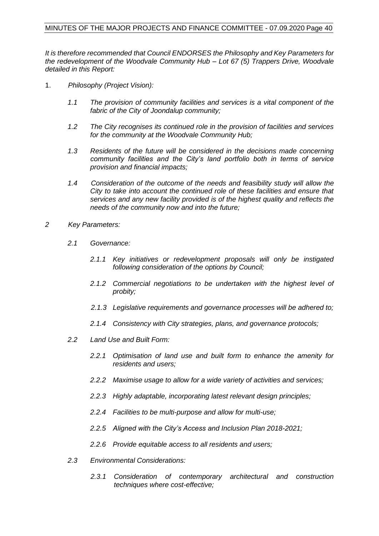*It is therefore recommended that Council ENDORSES the Philosophy and Key Parameters for the redevelopment of the Woodvale Community Hub – Lot 67 (5) Trappers Drive, Woodvale detailed in this Report:*

- 1. *Philosophy (Project Vision):*
	- *1.1 The provision of community facilities and services is a vital component of the fabric of the City of Joondalup community;*
	- *1.2 The City recognises its continued role in the provision of facilities and services for the community at the Woodvale Community Hub;*
	- *1.3 Residents of the future will be considered in the decisions made concerning community facilities and the City's land portfolio both in terms of service provision and financial impacts;*
	- *1.4 Consideration of the outcome of the needs and feasibility study will allow the City to take into account the continued role of these facilities and ensure that services and any new facility provided is of the highest quality and reflects the needs of the community now and into the future;*
- *2 Key Parameters:*
	- *2.1 Governance:*
		- *2.1.1 Key initiatives or redevelopment proposals will only be instigated following consideration of the options by Council;*
		- *2.1.2 Commercial negotiations to be undertaken with the highest level of probity;*
		- *2.1.3 Legislative requirements and governance processes will be adhered to;*
		- *2.1.4 Consistency with City strategies, plans, and governance protocols;*
	- *2.2 Land Use and Built Form:*
		- *2.2.1 Optimisation of land use and built form to enhance the amenity for residents and users;*
		- *2.2.2 Maximise usage to allow for a wide variety of activities and services;*
		- *2.2.3 Highly adaptable, incorporating latest relevant design principles;*
		- *2.2.4 Facilities to be multi-purpose and allow for multi-use;*
		- *2.2.5 Aligned with the City's Access and Inclusion Plan 2018-2021;*
		- *2.2.6 Provide equitable access to all residents and users;*
	- *2.3 Environmental Considerations:*
		- *2.3.1 Consideration of contemporary architectural and construction techniques where cost-effective;*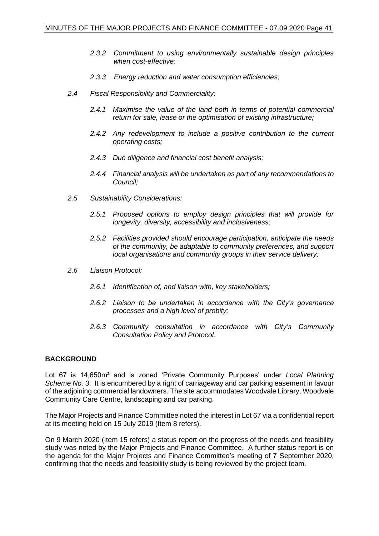- *2.3.2 Commitment to using environmentally sustainable design principles when cost-effective;*
- *2.3.3 Energy reduction and water consumption efficiencies;*
- *2.4 Fiscal Responsibility and Commerciality:*
	- *2.4.1 Maximise the value of the land both in terms of potential commercial return for sale, lease or the optimisation of existing infrastructure;*
	- *2.4.2 Any redevelopment to include a positive contribution to the current operating costs;*
	- *2.4.3 Due diligence and financial cost benefit analysis;*
	- *2.4.4 Financial analysis will be undertaken as part of any recommendations to Council;*
- *2.5 Sustainability Considerations:*
	- *2.5.1 Proposed options to employ design principles that will provide for longevity, diversity, accessibility and inclusiveness;*
	- *2.5.2 Facilities provided should encourage participation, anticipate the needs of the community, be adaptable to community preferences, and support local organisations and community groups in their service delivery;*
- *2.6 Liaison Protocol:*
	- *2.6.1 Identification of, and liaison with, key stakeholders;*
	- *2.6.2 Liaison to be undertaken in accordance with the City's governance processes and a high level of probity;*
	- *2.6.3 Community consultation in accordance with City's Community Consultation Policy and Protocol.*

#### **BACKGROUND**

Lot 67 is 14,650m² and is zoned 'Private Community Purposes' under *Local Planning Scheme No. 3*. It is encumbered by a right of carriageway and car parking easement in favour of the adjoining commercial landowners. The site accommodates Woodvale Library, Woodvale Community Care Centre, landscaping and car parking.

The Major Projects and Finance Committee noted the interest in Lot 67 via a confidential report at its meeting held on 15 July 2019 (Item 8 refers).

On 9 March 2020 (Item 15 refers) a status report on the progress of the needs and feasibility study was noted by the Major Projects and Finance Committee. A further status report is on the agenda for the Major Projects and Finance Committee's meeting of 7 September 2020, confirming that the needs and feasibility study is being reviewed by the project team.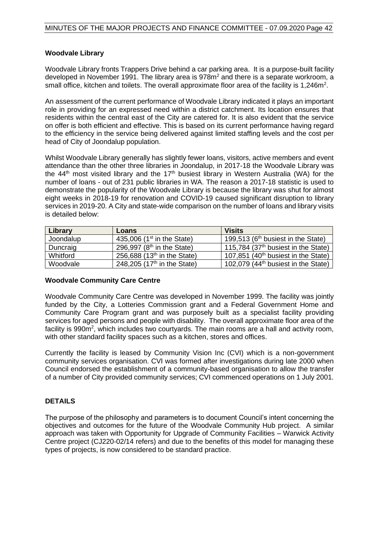#### **Woodvale Library**

Woodvale Library fronts Trappers Drive behind a car parking area. It is a purpose-built facility developed in November 1991. The library area is 978m<sup>2</sup> and there is a separate workroom, a small office, kitchen and toilets. The overall approximate floor area of the facility is 1,246m<sup>2</sup>.

An assessment of the current performance of Woodvale Library indicated it plays an important role in providing for an expressed need within a district catchment. Its location ensures that residents within the central east of the City are catered for. It is also evident that the service on offer is both efficient and effective. This is based on its current performance having regard to the efficiency in the service being delivered against limited staffing levels and the cost per head of City of Joondalup population.

Whilst Woodvale Library generally has slightly fewer loans, visitors, active members and event attendance than the other three libraries in Joondalup, in 2017-18 the Woodvale Library was the  $44<sup>th</sup>$  most visited library and the  $17<sup>th</sup>$  busiest library in Western Australia (WA) for the number of loans - out of 231 public libraries in WA. The reason a 2017-18 statistic is used to demonstrate the popularity of the Woodvale Library is because the library was shut for almost eight weeks in 2018-19 for renovation and COVID-19 caused significant disruption to library services in 2019-20. A City and state-wide comparison on the number of loans and library visits is detailed below:

| Library   | Loans                                   | <b>Visits</b>                                   |
|-----------|-----------------------------------------|-------------------------------------------------|
| Joondalup | 435,006 ( $1st$ in the State)           | 199,513 ( $6th$ busiest in the State)           |
| Duncraig  | 296,997 ( $8th$ in the State)           | 115,784 $(37th$ busiest in the State)           |
| Whitford  | 256,688 $(13th$ in the State)           | 107,851 (40 <sup>th</sup> busiest in the State) |
| Woodvale  | 248,205 (17 <sup>th</sup> in the State) | 102,079 $(44th$ busiest in the State)           |

#### **Woodvale Community Care Centre**

Woodvale Community Care Centre was developed in November 1999. The facility was jointly funded by the City, a Lotteries Commission grant and a Federal Government Home and Community Care Program grant and was purposely built as a specialist facility providing services for aged persons and people with disability. The overall approximate floor area of the facility is 990m<sup>2</sup>, which includes two courtyards. The main rooms are a hall and activity room, with other standard facility spaces such as a kitchen, stores and offices.

Currently the facility is leased by Community Vision Inc (CVI) which is a non-government community services organisation. CVI was formed after investigations during late 2000 when Council endorsed the establishment of a community-based organisation to allow the transfer of a number of City provided community services; CVI commenced operations on 1 July 2001.

#### **DETAILS**

The purpose of the philosophy and parameters is to document Council's intent concerning the objectives and outcomes for the future of the Woodvale Community Hub project. A similar approach was taken with Opportunity for Upgrade of Community Facilities – Warwick Activity Centre project (CJ220-02/14 refers) and due to the benefits of this model for managing these types of projects, is now considered to be standard practice.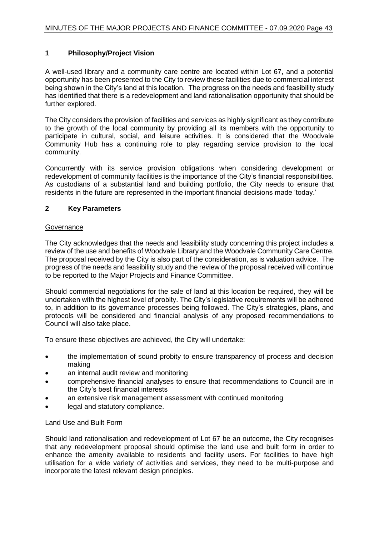#### **1 Philosophy/Project Vision**

A well-used library and a community care centre are located within Lot 67, and a potential opportunity has been presented to the City to review these facilities due to commercial interest being shown in the City's land at this location. The progress on the needs and feasibility study has identified that there is a redevelopment and land rationalisation opportunity that should be further explored.

The City considers the provision of facilities and services as highly significant as they contribute to the growth of the local community by providing all its members with the opportunity to participate in cultural, social, and leisure activities. It is considered that the Woodvale Community Hub has a continuing role to play regarding service provision to the local community.

Concurrently with its service provision obligations when considering development or redevelopment of community facilities is the importance of the City's financial responsibilities. As custodians of a substantial land and building portfolio, the City needs to ensure that residents in the future are represented in the important financial decisions made 'today.'

#### **2 Key Parameters**

#### **Governance**

The City acknowledges that the needs and feasibility study concerning this project includes a review of the use and benefits of Woodvale Library and the Woodvale Community Care Centre. The proposal received by the City is also part of the consideration, as is valuation advice. The progress of the needs and feasibility study and the review of the proposal received will continue to be reported to the Major Projects and Finance Committee.

Should commercial negotiations for the sale of land at this location be required, they will be undertaken with the highest level of probity. The City's legislative requirements will be adhered to, in addition to its governance processes being followed. The City's strategies, plans, and protocols will be considered and financial analysis of any proposed recommendations to Council will also take place.

To ensure these objectives are achieved, the City will undertake:

- the implementation of sound probity to ensure transparency of process and decision making
- an internal audit review and monitoring
- comprehensive financial analyses to ensure that recommendations to Council are in the City's best financial interests
- an extensive risk management assessment with continued monitoring
- legal and statutory compliance.

#### Land Use and Built Form

Should land rationalisation and redevelopment of Lot 67 be an outcome, the City recognises that any redevelopment proposal should optimise the land use and built form in order to enhance the amenity available to residents and facility users. For facilities to have high utilisation for a wide variety of activities and services, they need to be multi-purpose and incorporate the latest relevant design principles.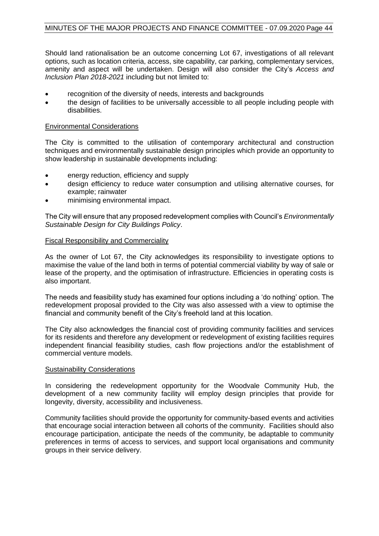Should land rationalisation be an outcome concerning Lot 67, investigations of all relevant options, such as location criteria, access, site capability, car parking, complementary services, amenity and aspect will be undertaken. Design will also consider the City's *[Access and](http://intranet/cp/Strategic%20Plans/Strategic%20Plans/07%20Community%20Development%20Plan%20and%20Related%20Plans/Access%20and%20Inclusion%20Plan%202018-2021.pdf)  [Inclusion Plan 2](http://intranet/cp/Strategic%20Plans/Strategic%20Plans/07%20Community%20Development%20Plan%20and%20Related%20Plans/Access%20and%20Inclusion%20Plan%202018-2021.pdf)018-2021* including but not limited to:

- recognition of the diversity of needs, interests and backgrounds
- the design of facilities to be universally accessible to all people including people with disabilities.

#### Environmental Considerations

The City is committed to the utilisation of contemporary architectural and construction techniques and environmentally sustainable design principles which provide an opportunity to show leadership in sustainable developments including:

- energy reduction, efficiency and supply
- design efficiency to reduce water consumption and utilising alternative courses, for example; rainwater
- minimising environmental impact.

The City will ensure that any proposed redevelopment complies with Council's *Environmentally Sustainable Design for City Buildings Policy*.

#### Fiscal Responsibility and Commerciality

As the owner of Lot 67, the City acknowledges its responsibility to investigate options to maximise the value of the land both in terms of potential commercial viability by way of sale or lease of the property, and the optimisation of infrastructure. Efficiencies in operating costs is also important.

The needs and feasibility study has examined four options including a 'do nothing' option. The redevelopment proposal provided to the City was also assessed with a view to optimise the financial and community benefit of the City's freehold land at this location.

The City also acknowledges the financial cost of providing community facilities and services for its residents and therefore any development or redevelopment of existing facilities requires independent financial feasibility studies, cash flow projections and/or the establishment of commercial venture models.

#### Sustainability Considerations

In considering the redevelopment opportunity for the Woodvale Community Hub, the development of a new community facility will employ design principles that provide for longevity, diversity, accessibility and inclusiveness.

Community facilities should provide the opportunity for community-based events and activities that encourage social interaction between all cohorts of the community. Facilities should also encourage participation, anticipate the needs of the community, be adaptable to community preferences in terms of access to services, and support local organisations and community groups in their service delivery.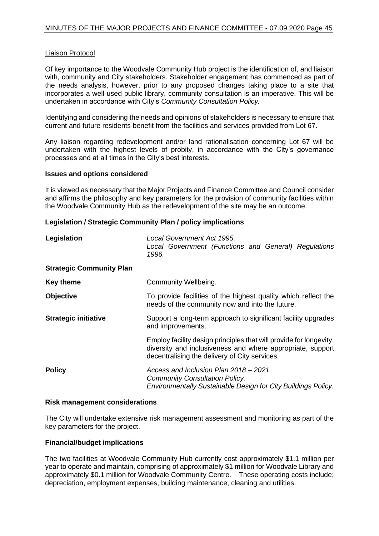#### Liaison Protocol

Of key importance to the Woodvale Community Hub project is the identification of, and liaison with, community and City stakeholders. Stakeholder engagement has commenced as part of the needs analysis, however, prior to any proposed changes taking place to a site that incorporates a well-used public library, community consultation is an imperative. This will be undertaken in accordance with City's *Community Consultation Policy.*

Identifying and considering the needs and opinions of stakeholders is necessary to ensure that current and future residents benefit from the facilities and services provided from Lot 67.

Any liaison regarding redevelopment and/or land rationalisation concerning Lot 67 will be undertaken with the highest levels of probity, in accordance with the City's governance processes and at all times in the City's best interests.

#### **Issues and options considered**

It is viewed as necessary that the Major Projects and Finance Committee and Council consider and affirms the philosophy and key parameters for the provision of community facilities within the Woodvale Community Hub as the redevelopment of the site may be an outcome.

#### **Legislation / Strategic Community Plan / policy implications**

| Legislation                     | Local Government Act 1995.<br>Local Government (Functions and General) Regulations<br>1996.                                                                                       |  |
|---------------------------------|-----------------------------------------------------------------------------------------------------------------------------------------------------------------------------------|--|
| <b>Strategic Community Plan</b> |                                                                                                                                                                                   |  |
| <b>Key theme</b>                | Community Wellbeing.                                                                                                                                                              |  |
| Objective                       | To provide facilities of the highest quality which reflect the<br>needs of the community now and into the future.                                                                 |  |
| <b>Strategic initiative</b>     | Support a long-term approach to significant facility upgrades<br>and improvements.                                                                                                |  |
|                                 | Employ facility design principles that will provide for longevity,<br>diversity and inclusiveness and where appropriate, support<br>decentralising the delivery of City services. |  |
| <b>Policy</b>                   | Access and Inclusion Plan 2018 – 2021.<br><b>Community Consultation Policy.</b><br>Environmentally Sustainable Design for City Buildings Policy.                                  |  |

#### **Risk management considerations**

The City will undertake extensive risk management assessment and monitoring as part of the key parameters for the project.

#### **Financial/budget implications**

The two facilities at Woodvale Community Hub currently cost approximately \$1.1 million per year to operate and maintain, comprising of approximately \$1 million for Woodvale Library and approximately \$0.1 million for Woodvale Community Centre. These operating costs include; depreciation, employment expenses, building maintenance, cleaning and utilities.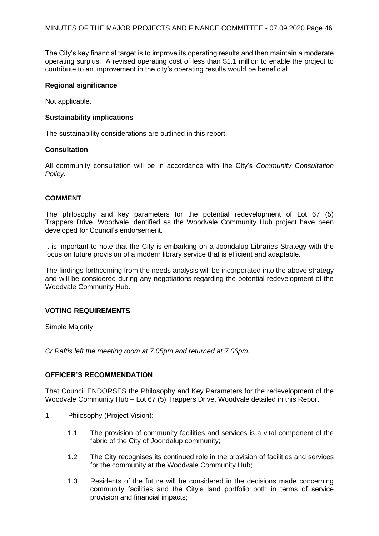The City's key financial target is to improve its operating results and then maintain a moderate operating surplus. A revised operating cost of less than \$1.1 million to enable the project to contribute to an improvement in the city's operating results would be beneficial.

#### **Regional significance**

Not applicable.

#### **Sustainability implications**

The sustainability considerations are outlined in this report.

#### **Consultation**

All community consultation will be in accordance with the City's *Community Consultation Policy.*

#### **COMMENT**

The philosophy and key parameters for the potential redevelopment of Lot 67 (5) Trappers Drive, Woodvale identified as the Woodvale Community Hub project have been developed for Council's endorsement.

It is important to note that the City is embarking on a Joondalup Libraries Strategy with the focus on future provision of a modern library service that is efficient and adaptable.

The findings forthcoming from the needs analysis will be incorporated into the above strategy and will be considered during any negotiations regarding the potential redevelopment of the Woodvale Community Hub.

#### **VOTING REQUIREMENTS**

Simple Majority.

*Cr Raftis left the meeting room at 7.05pm and returned at 7.06pm.*

#### **OFFICER'S RECOMMENDATION**

That Council ENDORSES the Philosophy and Key Parameters for the redevelopment of the Woodvale Community Hub – Lot 67 (5) Trappers Drive, Woodvale detailed in this Report:

- 1 Philosophy (Project Vision):
	- 1.1 The provision of community facilities and services is a vital component of the fabric of the City of Joondalup community;
	- 1.2 The City recognises its continued role in the provision of facilities and services for the community at the Woodvale Community Hub;
	- 1.3 Residents of the future will be considered in the decisions made concerning community facilities and the City's land portfolio both in terms of service provision and financial impacts;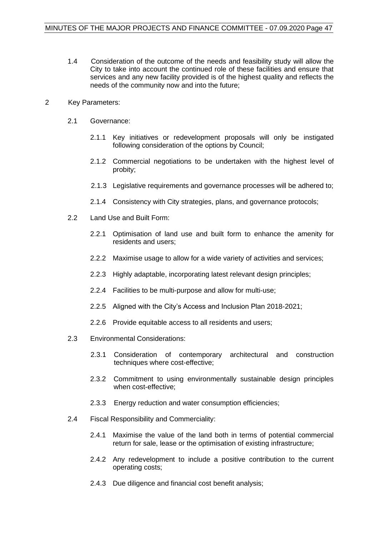1.4 Consideration of the outcome of the needs and feasibility study will allow the City to take into account the continued role of these facilities and ensure that services and any new facility provided is of the highest quality and reflects the needs of the community now and into the future;

#### 2 Key Parameters:

- 2.1 Governance:
	- 2.1.1 Key initiatives or redevelopment proposals will only be instigated following consideration of the options by Council;
	- 2.1.2 Commercial negotiations to be undertaken with the highest level of probity;
	- 2.1.3 Legislative requirements and governance processes will be adhered to;
	- 2.1.4 Consistency with City strategies, plans, and governance protocols;
- 2.2 Land Use and Built Form:
	- 2.2.1 Optimisation of land use and built form to enhance the amenity for residents and users;
	- 2.2.2 Maximise usage to allow for a wide variety of activities and services;
	- 2.2.3 Highly adaptable, incorporating latest relevant design principles;
	- 2.2.4 Facilities to be multi-purpose and allow for multi-use;
	- 2.2.5 Aligned with the City's Access and Inclusion Plan 2018-2021;
	- 2.2.6 Provide equitable access to all residents and users;
- 2.3 Environmental Considerations:
	- 2.3.1 Consideration of contemporary architectural and construction techniques where cost-effective;
	- 2.3.2 Commitment to using environmentally sustainable design principles when cost-effective;
	- 2.3.3 Energy reduction and water consumption efficiencies;
- 2.4 Fiscal Responsibility and Commerciality:
	- 2.4.1 Maximise the value of the land both in terms of potential commercial return for sale, lease or the optimisation of existing infrastructure;
	- 2.4.2 Any redevelopment to include a positive contribution to the current operating costs;
	- 2.4.3 Due diligence and financial cost benefit analysis;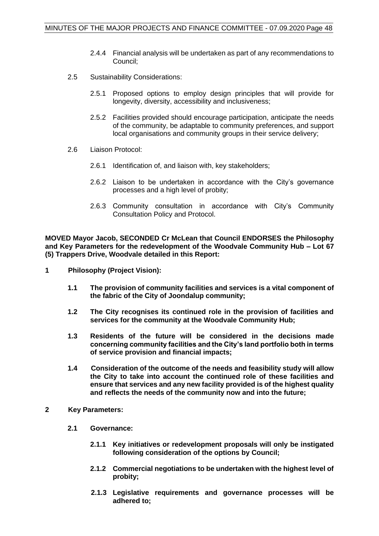- 2.4.4 Financial analysis will be undertaken as part of any recommendations to Council;
- 2.5 Sustainability Considerations:
	- 2.5.1 Proposed options to employ design principles that will provide for longevity, diversity, accessibility and inclusiveness;
	- 2.5.2 Facilities provided should encourage participation, anticipate the needs of the community, be adaptable to community preferences, and support local organisations and community groups in their service delivery;
- 2.6 Liaison Protocol:
	- 2.6.1 Identification of, and liaison with, key stakeholders;
	- 2.6.2 Liaison to be undertaken in accordance with the City's governance processes and a high level of probity;
	- 2.6.3 Community consultation in accordance with City's Community Consultation Policy and Protocol.

**MOVED Mayor Jacob, SECONDED Cr McLean that Council ENDORSES the Philosophy and Key Parameters for the redevelopment of the Woodvale Community Hub – Lot 67 (5) Trappers Drive, Woodvale detailed in this Report:**

- **1 Philosophy (Project Vision):**
	- **1.1 The provision of community facilities and services is a vital component of the fabric of the City of Joondalup community;**
	- **1.2 The City recognises its continued role in the provision of facilities and services for the community at the Woodvale Community Hub;**
	- **1.3 Residents of the future will be considered in the decisions made concerning community facilities and the City's land portfolio both in terms of service provision and financial impacts;**
	- **1.4 Consideration of the outcome of the needs and feasibility study will allow the City to take into account the continued role of these facilities and ensure that services and any new facility provided is of the highest quality and reflects the needs of the community now and into the future;**
- **2 Key Parameters:**
	- **2.1 Governance:**
		- **2.1.1 Key initiatives or redevelopment proposals will only be instigated following consideration of the options by Council;**
		- **2.1.2 Commercial negotiations to be undertaken with the highest level of probity;**
		- **2.1.3 Legislative requirements and governance processes will be adhered to;**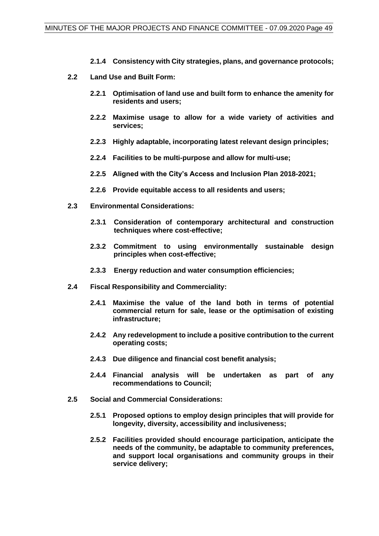- **2.1.4 Consistency with City strategies, plans, and governance protocols;**
- **2.2 Land Use and Built Form:**
	- **2.2.1 Optimisation of land use and built form to enhance the amenity for residents and users;**
	- **2.2.2 Maximise usage to allow for a wide variety of activities and services;**
	- **2.2.3 Highly adaptable, incorporating latest relevant design principles;**
	- **2.2.4 Facilities to be multi-purpose and allow for multi-use;**
	- **2.2.5 Aligned with the City's Access and Inclusion Plan 2018-2021;**
	- **2.2.6 Provide equitable access to all residents and users;**
- **2.3 Environmental Considerations:**
	- **2.3.1 Consideration of contemporary architectural and construction techniques where cost-effective;**
	- **2.3.2 Commitment to using environmentally sustainable design principles when cost-effective;**
	- **2.3.3 Energy reduction and water consumption efficiencies;**
- **2.4 Fiscal Responsibility and Commerciality:**
	- **2.4.1 Maximise the value of the land both in terms of potential commercial return for sale, lease or the optimisation of existing infrastructure;**
	- **2.4.2 Any redevelopment to include a positive contribution to the current operating costs;**
	- **2.4.3 Due diligence and financial cost benefit analysis;**
	- **2.4.4 Financial analysis will be undertaken as part of any recommendations to Council;**
- **2.5 Social and Commercial Considerations:**
	- **2.5.1 Proposed options to employ design principles that will provide for longevity, diversity, accessibility and inclusiveness;**
	- **2.5.2 Facilities provided should encourage participation, anticipate the needs of the community, be adaptable to community preferences, and support local organisations and community groups in their service delivery;**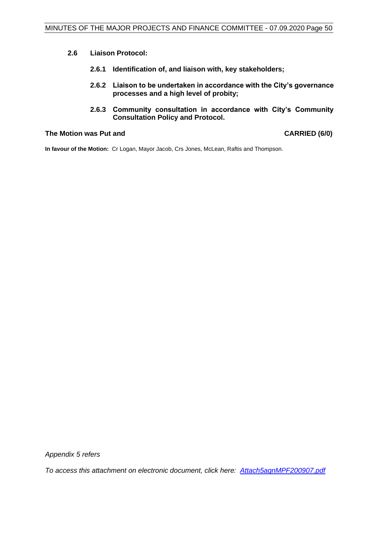- **2.6 Liaison Protocol:**
	- **2.6.1 Identification of, and liaison with, key stakeholders;**
	- **2.6.2 Liaison to be undertaken in accordance with the City's governance processes and a high level of probity;**
	- **2.6.3 Community consultation in accordance with City's Community Consultation Policy and Protocol.**

#### **The Motion was Put and CARRIED (6/0)**

**In favour of the Motion:** Cr Logan, Mayor Jacob, Crs Jones, McLean, Raftis and Thompson.

*Appendix 5 refers*

*To access this attachment on electronic document, click her[e: Attach5agnMPF200907.pdf](http://www.joondalup.wa.gov.au/files/committees/MPFI/2020/Attach5agnMPF200907.pdf)*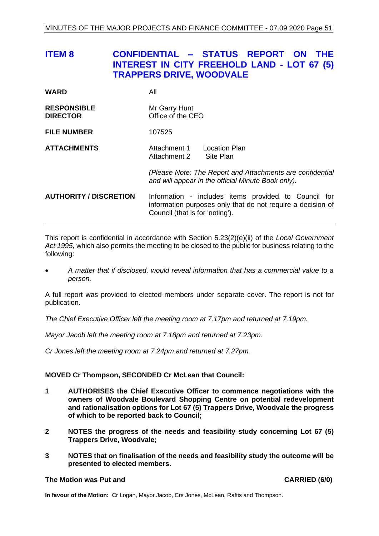<span id="page-50-0"></span>

| <b>ITEM 8</b>       | CONFIDENTIAL - STATUS REPORT ON THE<br>INTEREST IN CITY FREEHOLD LAND - LOT 67 (5)<br><b>TRAPPERS DRIVE, WOODVALE</b> |  |  |
|---------------------|-----------------------------------------------------------------------------------------------------------------------|--|--|
| <b>WARD</b>         | All                                                                                                                   |  |  |
| <b>DECDANCIDI E</b> | $Mr$ Corni $\Box$                                                                                                     |  |  |

| <b>RESPONSIBLE</b> | Mr Garry Hunt     |  |  |
|--------------------|-------------------|--|--|
| <b>DIRECTOR</b>    | Office of the CEO |  |  |
|                    |                   |  |  |

**FILE NUMBER** 107525

**ATTACHMENTS**<br>Attachment 1 Location Plan<br>Attachment 2 Site Plan Attachment 2

> *(Please Note: The Report and Attachments are confidential and will appear in the official Minute Book only).*

**AUTHORITY / DISCRETION** Information - includes items provided to Council for information purposes only that do not require a decision of Council (that is for 'noting').

This report is confidential in accordance with Section 5.23(2)(e)(ii) of the *Local Government Act 1995*, which also permits the meeting to be closed to the public for business relating to the following:

• *A matter that if disclosed, would reveal information that has a commercial value to a person.*

A full report was provided to elected members under separate cover. The report is not for publication.

*The Chief Executive Officer left the meeting room at 7.17pm and returned at 7.19pm.*

*Mayor Jacob left the meeting room at 7.18pm and returned at 7.23pm.*

*Cr Jones left the meeting room at 7.24pm and returned at 7.27pm.*

#### **MOVED Cr Thompson, SECONDED Cr McLean that Council:**

- **1 AUTHORISES the Chief Executive Officer to commence negotiations with the owners of Woodvale Boulevard Shopping Centre on potential redevelopment and rationalisation options for Lot 67 (5) Trappers Drive, Woodvale the progress of which to be reported back to Council;**
- **2 NOTES the progress of the needs and feasibility study concerning Lot 67 (5) Trappers Drive, Woodvale;**
- **3 NOTES that on finalisation of the needs and feasibility study the outcome will be presented to elected members.**

#### **The Motion was Put and CARRIED (6/0)**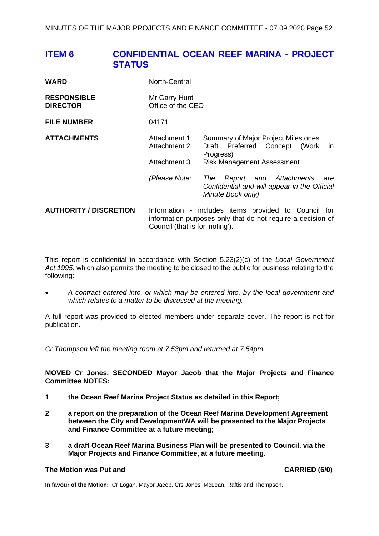# <span id="page-51-0"></span>**ITEM 6 CONFIDENTIAL OCEAN REEF MARINA - PROJECT STATUS**

| <b>WARD</b>                           | North-Central                                                                                                                                          |                                                                                                                               |
|---------------------------------------|--------------------------------------------------------------------------------------------------------------------------------------------------------|-------------------------------------------------------------------------------------------------------------------------------|
| <b>RESPONSIBLE</b><br><b>DIRECTOR</b> | Mr Garry Hunt<br>Office of the CEO                                                                                                                     |                                                                                                                               |
| <b>FILE NUMBER</b>                    | 04171                                                                                                                                                  |                                                                                                                               |
| <b>ATTACHMENTS</b>                    | Attachment 1<br>Attachment 2<br>Attachment 3                                                                                                           | Summary of Major Project Milestones<br>Draft Preferred Concept (Work<br>in.<br>Progress)<br><b>Risk Management Assessment</b> |
|                                       | (Please Note:                                                                                                                                          | Report and Attachments<br>The<br>are<br>Confidential and will appear in the Official<br>Minute Book only)                     |
| <b>AUTHORITY / DISCRETION</b>         | Information - includes items provided to Council for<br>information purposes only that do not require a decision of<br>Council (that is for 'noting'). |                                                                                                                               |

This report is confidential in accordance with Section 5.23(2)(c) of the *Local Government Act 1995*, which also permits the meeting to be closed to the public for business relating to the following:

• *A contract entered into, or which may be entered into, by the local government and which relates to a matter to be discussed at the meeting.*

A full report was provided to elected members under separate cover. The report is not for publication.

*Cr Thompson left the meeting room at 7.53pm and returned at 7.54pm.*

#### **MOVED Cr Jones, SECONDED Mayor Jacob that the Major Projects and Finance Committee NOTES:**

- **1 the Ocean Reef Marina Project Status as detailed in this Report;**
- **2 a report on the preparation of the Ocean Reef Marina Development Agreement between the City and DevelopmentWA will be presented to the Major Projects and Finance Committee at a future meeting;**
- **3 a draft Ocean Reef Marina Business Plan will be presented to Council, via the Major Projects and Finance Committee, at a future meeting.**

#### **The Motion was Put and CARRIED (6/0)**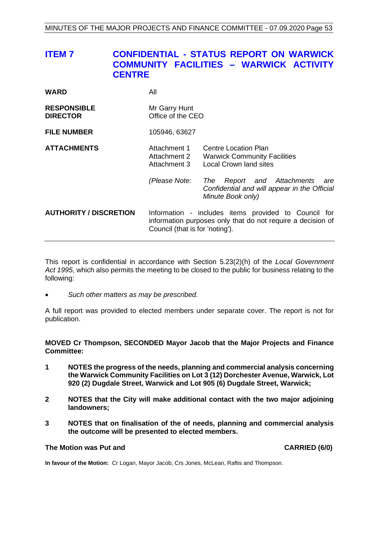# <span id="page-52-0"></span>**ITEM 7 CONFIDENTIAL - STATUS REPORT ON WARWICK COMMUNITY FACILITIES – WARWICK ACTIVITY CENTRE**

| <b>WARD</b>                           | All                                                                                                                                                    |                                                                                                                                         |  |
|---------------------------------------|--------------------------------------------------------------------------------------------------------------------------------------------------------|-----------------------------------------------------------------------------------------------------------------------------------------|--|
| <b>RESPONSIBLE</b><br><b>DIRECTOR</b> | Mr Garry Hunt<br>Office of the CEO                                                                                                                     |                                                                                                                                         |  |
| <b>FILE NUMBER</b>                    | 105946, 63627                                                                                                                                          |                                                                                                                                         |  |
| <b>ATTACHMENTS</b>                    | Attachment 1<br>Attachment 2<br>Attachment 3<br>(Please Note:                                                                                          | Centre Location Plan<br><b>Warwick Community Facilities</b><br><b>Local Crown land sites</b><br>and Attachments<br>The<br>Report<br>are |  |
|                                       |                                                                                                                                                        | Confidential and will appear in the Official<br>Minute Book only)                                                                       |  |
| <b>AUTHORITY / DISCRETION</b>         | Information - includes items provided to Council for<br>information purposes only that do not require a decision of<br>Council (that is for 'noting'). |                                                                                                                                         |  |

This report is confidential in accordance with Section 5.23(2)(h) of the *Local Government Act 1995*, which also permits the meeting to be closed to the public for business relating to the following:

• *Such other matters as may be prescribed.*

A full report was provided to elected members under separate cover. The report is not for publication.

**MOVED Cr Thompson, SECONDED Mayor Jacob that the Major Projects and Finance Committee:**

- **1 NOTES the progress of the needs, planning and commercial analysis concerning the Warwick Community Facilities on Lot 3 (12) Dorchester Avenue, Warwick, Lot 920 (2) Dugdale Street, Warwick and Lot 905 (6) Dugdale Street, Warwick;**
- **2 NOTES that the City will make additional contact with the two major adjoining landowners;**
- **3 NOTES that on finalisation of the of needs, planning and commercial analysis the outcome will be presented to elected members.**

#### **The Motion was Put and CARRIED (6/0)**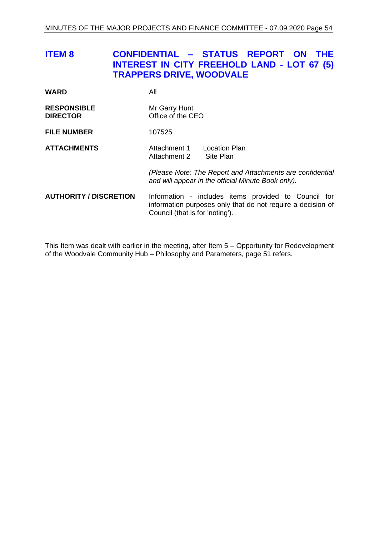<span id="page-53-0"></span>

| <b>ITEM 8</b>                         | CONFIDENTIAL - STATUS REPORT ON THE<br><b>INTEREST IN CITY FREEHOLD LAND - LOT 67 (5)</b><br><b>TRAPPERS DRIVE, WOODVALE</b>                           |
|---------------------------------------|--------------------------------------------------------------------------------------------------------------------------------------------------------|
| <b>WARD</b>                           | All                                                                                                                                                    |
| <b>RESPONSIBLE</b><br><b>DIRECTOR</b> | Mr Garry Hunt<br>Office of the CEO                                                                                                                     |
| <b>FILE NUMBER</b>                    | 107525                                                                                                                                                 |
| <b>ATTACHMENTS</b>                    | Attachment 1 Location Plan<br>Site Plan<br>Attachment 2                                                                                                |
|                                       | (Please Note: The Report and Attachments are confidential<br>and will appear in the official Minute Book only).                                        |
| <b>AUTHORITY / DISCRETION</b>         | Information - includes items provided to Council for<br>information purposes only that do not require a decision of<br>Council (that is for 'noting'). |

This Item was dealt with earlier in the meeting, after Item 5 – Opportunity for Redevelopment of the Woodvale Community Hub – Philosophy and Parameters, page [51](#page-50-0) refers.